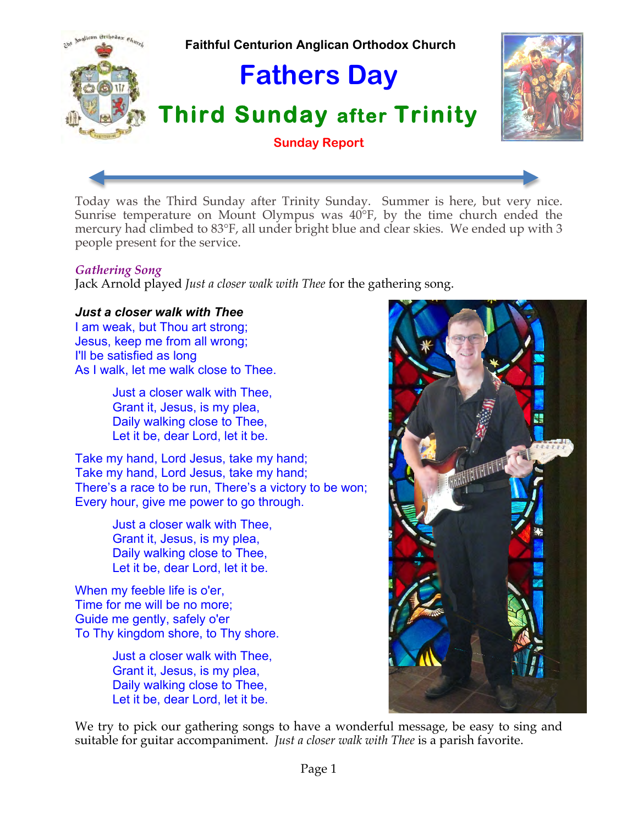

Today was the Third Sunday after Trinity Sunday. Summer is here, but very nice. Sunrise temperature on Mount Olympus was 40°F, by the time church ended the mercury had climbed to 83°F, all under bright blue and clear skies. We ended up with 3 people present for the service.

## *Gathering Song*

Jack Arnold played *Just a closer walk with Thee* for the gathering song.

## *Just a closer walk with Thee*

I am weak, but Thou art strong; Jesus, keep me from all wrong; I'll be satisfied as long As I walk, let me walk close to Thee.

> Just a closer walk with Thee, Grant it, Jesus, is my plea, Daily walking close to Thee, Let it be, dear Lord, let it be.

Take my hand, Lord Jesus, take my hand; Take my hand, Lord Jesus, take my hand; There's a race to be run, There's a victory to be won; Every hour, give me power to go through.

> Just a closer walk with Thee, Grant it, Jesus, is my plea, Daily walking close to Thee, Let it be, dear Lord, let it be.

When my feeble life is o'er, Time for me will be no more; Guide me gently, safely o'er To Thy kingdom shore, to Thy shore.

> Just a closer walk with Thee, Grant it, Jesus, is my plea, Daily walking close to Thee, Let it be, dear Lord, let it be.

We try to pick our gathering songs to have a wonderful message, be easy to sing and suitable for guitar accompaniment. *Just a closer walk with Thee* is a parish favorite.

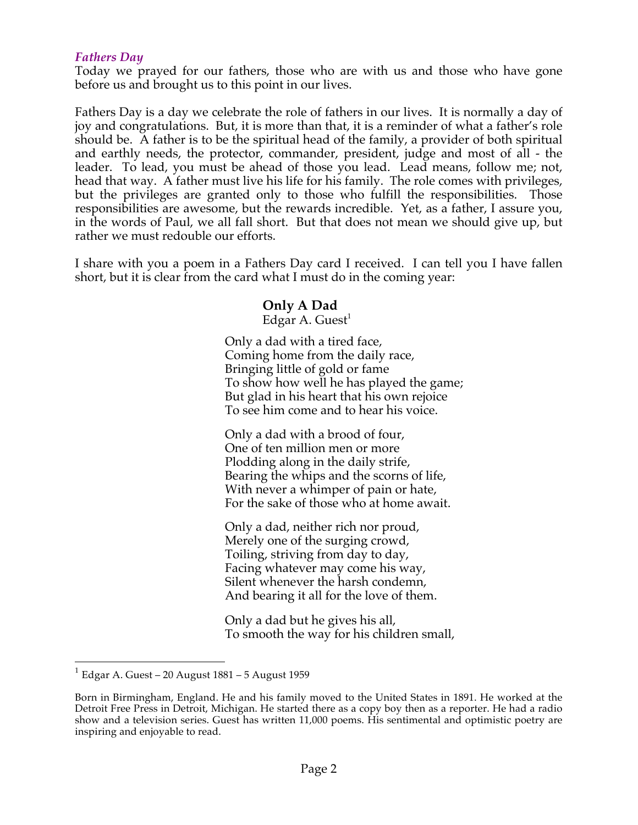## *Fathers Day*

Today we prayed for our fathers, those who are with us and those who have gone before us and brought us to this point in our lives.

Fathers Day is a day we celebrate the role of fathers in our lives. It is normally a day of joy and congratulations. But, it is more than that, it is a reminder of what a father's role should be. A father is to be the spiritual head of the family, a provider of both spiritual and earthly needs, the protector, commander, president, judge and most of all - the leader. To lead, you must be ahead of those you lead. Lead means, follow me; not, head that way. A father must live his life for his family. The role comes with privileges, but the privileges are granted only to those who fulfill the responsibilities. Those responsibilities are awesome, but the rewards incredible. Yet, as a father, I assure you, in the words of Paul, we all fall short. But that does not mean we should give up, but rather we must redouble our efforts.

I share with you a poem in a Fathers Day card I received. I can tell you I have fallen short, but it is clear from the card what I must do in the coming year:

## **Only A Dad**

Edgar A. Guest<sup>1</sup>

Only a dad with a tired face, Coming home from the daily race, Bringing little of gold or fame To show how well he has played the game; But glad in his heart that his own rejoice To see him come and to hear his voice.

Only a dad with a brood of four, One of ten million men or more Plodding along in the daily strife, Bearing the whips and the scorns of life, With never a whimper of pain or hate, For the sake of those who at home await.

Only a dad, neither rich nor proud, Merely one of the surging crowd, Toiling, striving from day to day, Facing whatever may come his way, Silent whenever the harsh condemn, And bearing it all for the love of them.

Only a dad but he gives his all, To smooth the way for his children small,

 $1$  Edgar A. Guest – 20 August 1881 – 5 August 1959

Born in Birmingham, England. He and his family moved to the United States in 1891. He worked at the Detroit Free Press in Detroit, Michigan. He started there as a copy boy then as a reporter. He had a radio show and a television series. Guest has written 11,000 poems. His sentimental and optimistic poetry are inspiring and enjoyable to read.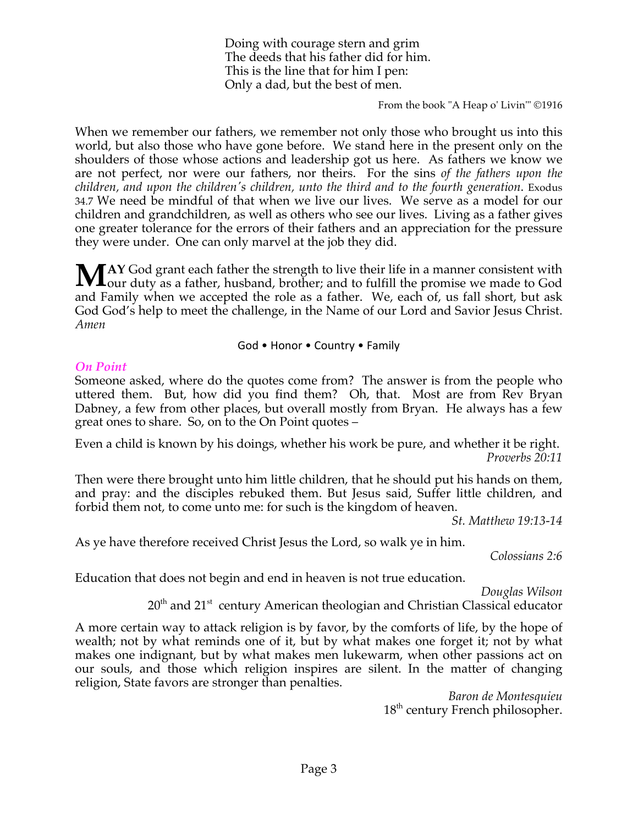Doing with courage stern and grim The deeds that his father did for him. This is the line that for him I pen: Only a dad, but the best of men.

From the book "A Heap o' Livin'" ©1916

When we remember our fathers, we remember not only those who brought us into this world, but also those who have gone before. We stand here in the present only on the shoulders of those whose actions and leadership got us here. As fathers we know we are not perfect, nor were our fathers, nor theirs. For the sins *of the fathers upon the children, and upon the children's children, unto the third and to the fourth generation*. Exodus 34.7 We need be mindful of that when we live our lives. We serve as a model for our children and grandchildren, as well as others who see our lives. Living as a father gives one greater tolerance for the errors of their fathers and an appreciation for the pressure they were under. One can only marvel at the job they did.

**AY** God grant each father the strength to live their life in a manner consistent with MAY God grant each father the strength to live their life in a manner consistent with our duty as a father, husband, brother; and to fulfill the promise we made to God and Family when we accepted the role as a father. We, each of, us fall short, but ask God God's help to meet the challenge, in the Name of our Lord and Savior Jesus Christ. *Amen*

#### God • Honor • Country • Family

#### *On Point*

Someone asked, where do the quotes come from? The answer is from the people who uttered them. But, how did you find them? Oh, that. Most are from Rev Bryan Dabney, a few from other places, but overall mostly from Bryan. He always has a few great ones to share. So, on to the On Point quotes –

Even a child is known by his doings, whether his work be pure, and whether it be right. *Proverbs 20:11*

Then were there brought unto him little children, that he should put his hands on them, and pray: and the disciples rebuked them. But Jesus said, Suffer little children, and forbid them not, to come unto me: for such is the kingdom of heaven.

*St. Matthew 19:13-14*

As ye have therefore received Christ Jesus the Lord, so walk ye in him.

*Colossians 2:6*

Education that does not begin and end in heaven is not true education.

*Douglas Wilson*

20<sup>th</sup> and 21<sup>st</sup> century American theologian and Christian Classical educator

A more certain way to attack religion is by favor, by the comforts of life, by the hope of wealth; not by what reminds one of it, but by what makes one forget it; not by what makes one indignant, but by what makes men lukewarm, when other passions act on our souls, and those which religion inspires are silent. In the matter of changing religion, State favors are stronger than penalties.

*Baron de Montesquieu* 18<sup>th</sup> century French philosopher.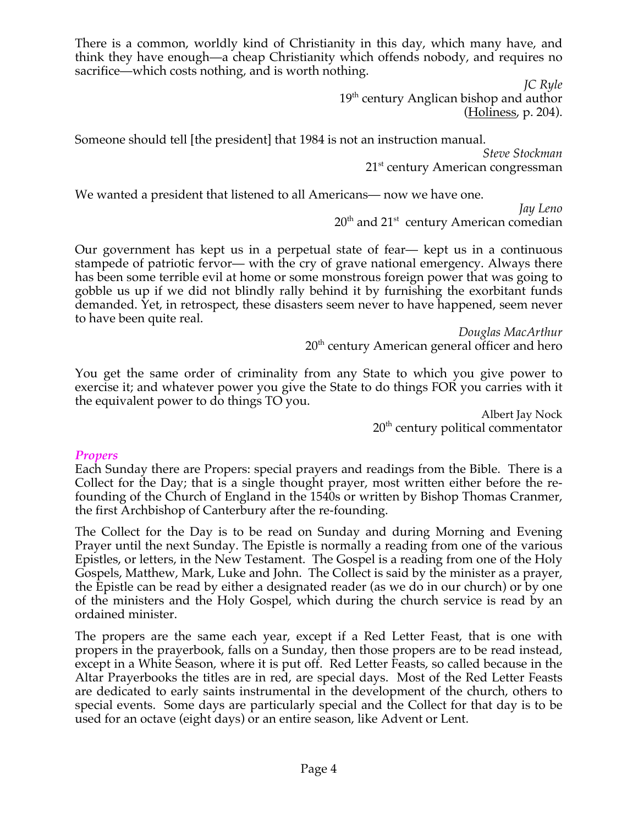There is a common, worldly kind of Christianity in this day, which many have, and think they have enough—a cheap Christianity which offends nobody, and requires no sacrifice—which costs nothing, and is worth nothing.

> *JC Ryle* 19<sup>th</sup> century Anglican bishop and author (Holiness, p. 204).

Someone should tell [the president] that 1984 is not an instruction manual.

*Steve Stockman* 21<sup>st</sup> century American congressman

We wanted a president that listened to all Americans— now we have one.

*Jay Leno*  $20<sup>th</sup>$  and  $21<sup>st</sup>$  century American comedian

Our government has kept us in a perpetual state of fear— kept us in a continuous stampede of patriotic fervor— with the cry of grave national emergency. Always there has been some terrible evil at home or some monstrous foreign power that was going to gobble us up if we did not blindly rally behind it by furnishing the exorbitant funds demanded. Yet, in retrospect, these disasters seem never to have happened, seem never to have been quite real.

> *Douglas MacArthur*  $20<sup>th</sup>$  century American general officer and hero

You get the same order of criminality from any State to which you give power to exercise it; and whatever power you give the State to do things FOR you carries with it the equivalent power to do things TO you.

Albert Jay Nock  $20<sup>th</sup>$  century political commentator

## *Propers*

Each Sunday there are Propers: special prayers and readings from the Bible. There is a Collect for the Day; that is a single thought prayer, most written either before the refounding of the Church of England in the 1540s or written by Bishop Thomas Cranmer, the first Archbishop of Canterbury after the re-founding.

The Collect for the Day is to be read on Sunday and during Morning and Evening Prayer until the next Sunday. The Epistle is normally a reading from one of the various Epistles, or letters, in the New Testament. The Gospel is a reading from one of the Holy Gospels, Matthew, Mark, Luke and John. The Collect is said by the minister as a prayer, the Epistle can be read by either a designated reader (as we do in our church) or by one of the ministers and the Holy Gospel, which during the church service is read by an ordained minister.

The propers are the same each year, except if a Red Letter Feast, that is one with propers in the prayerbook, falls on a Sunday, then those propers are to be read instead, except in a White Season, where it is put off. Red Letter Feasts, so called because in the Altar Prayerbooks the titles are in red, are special days. Most of the Red Letter Feasts are dedicated to early saints instrumental in the development of the church, others to special events. Some days are particularly special and the Collect for that day is to be used for an octave (eight days) or an entire season, like Advent or Lent.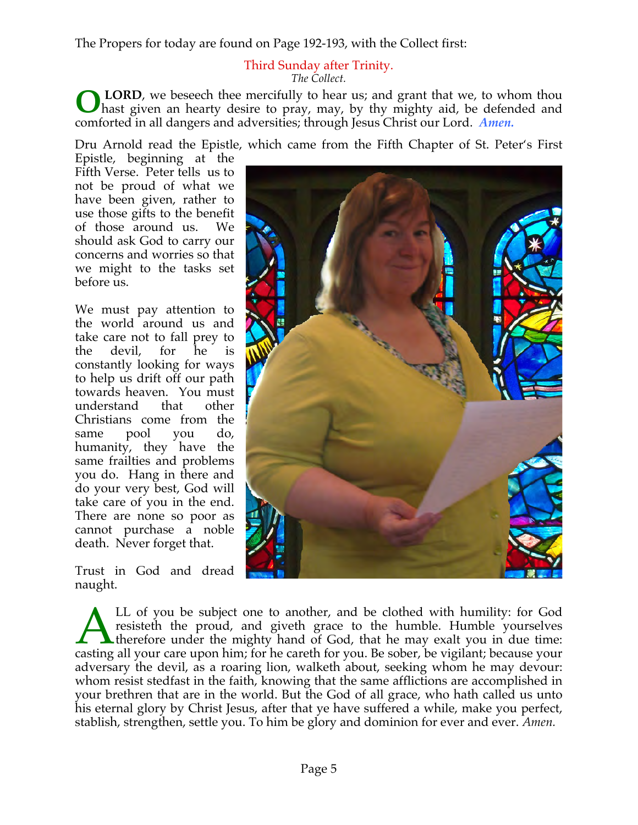The Propers for today are found on Page 192-193, with the Collect first:

#### Third Sunday after Trinity. *The Collect.*

LORD, we beseech thee mercifully to hear us; and grant that we, to whom thou hast given an hearty desire to pray, may, by thy mighty aid, be defended and comforted in all dangers and adversities; through Jesus Christ our Lord. *Amen.* **O**

Dru Arnold read the Epistle, which came from the Fifth Chapter of St. Peter's First

Epistle, beginning at the Fifth Verse. Peter tells us to not be proud of what we have been given, rather to use those gifts to the benefit of those around us. We should ask God to carry our concerns and worries so that we might to the tasks set before us.

We must pay attention to the world around us and take care not to fall prey to the devil, for he is constantly looking for ways to help us drift off our path towards heaven. You must understand that other Christians come from the same pool you do, same pool you do, humanity, they have the same frailties and problems you do. Hang in there and do your very best, God will take care of you in the end. There are none so poor as cannot purchase a noble death. Never forget that.

Trust in God and dread naught.



LL of you be subject one to another, and be clothed with humility: for God resisteth the proud, and giveth grace to the humble. Humble yourselves  $\blacktriangle$  therefore under the mighty hand of God, that he may exalt you in due time: LL of you be subject one to another, and be clothed with humility: for God resisteth the proud, and giveth grace to the humble. Humble yourselves therefore under the mighty hand of God, that he may exalt you in due time: c adversary the devil, as a roaring lion, walketh about, seeking whom he may devour: whom resist stedfast in the faith, knowing that the same afflictions are accomplished in your brethren that are in the world. But the God of all grace, who hath called us unto his eternal glory by Christ Jesus, after that ye have suffered a while, make you perfect, stablish, strengthen, settle you. To him be glory and dominion for ever and ever. *Amen.*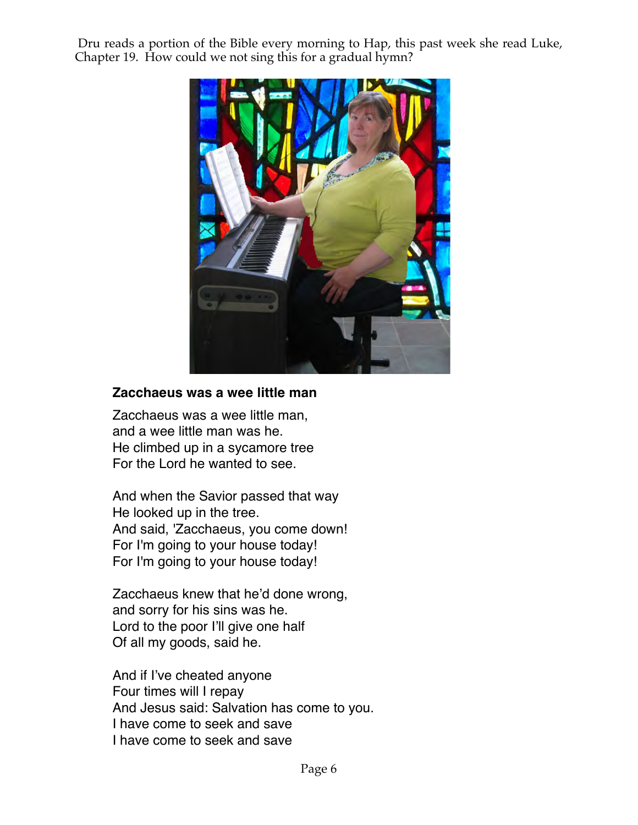Dru reads a portion of the Bible every morning to Hap, this past week she read Luke, Chapter 19. How could we not sing this for a gradual hymn?



# **Zacchaeus was a wee little man**

Zacchaeus was a wee little man, and a wee little man was he. He climbed up in a sycamore tree For the Lord he wanted to see.

And when the Savior passed that way He looked up in the tree. And said, 'Zacchaeus, you come down! For I'm going to your house today! For I'm going to your house today!

Zacchaeus knew that he'd done wrong, and sorry for his sins was he. Lord to the poor I'll give one half Of all my goods, said he.

And if I've cheated anyone Four times will I repay And Jesus said: Salvation has come to you. I have come to seek and save I have come to seek and save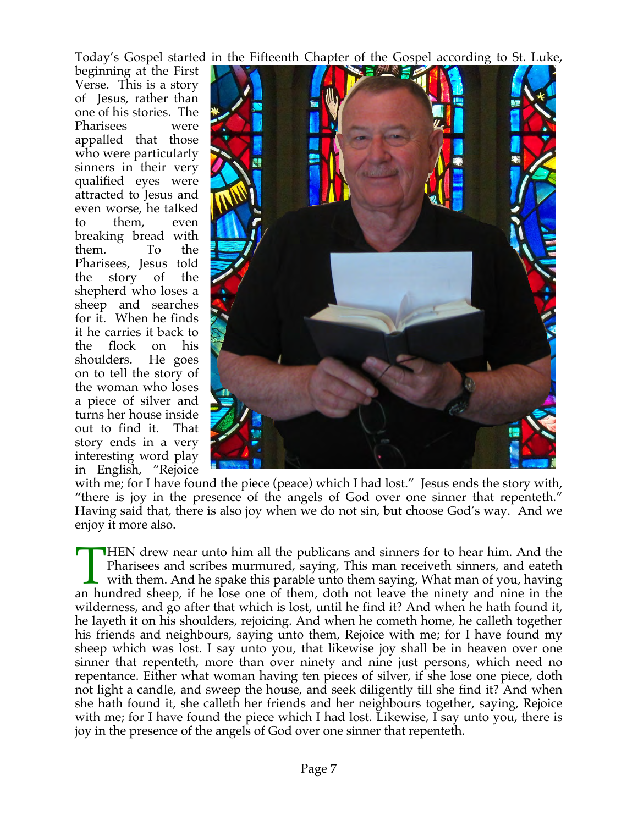Today's Gospel started in the Fifteenth Chapter of the Gospel according to St. Luke,

beginning at the First Verse. This is a story of Jesus, rather than one of his stories. The Pharisees were appalled that those who were particularly sinners in their very qualified eyes were attracted to Jesus and even worse, he talked to them, even breaking bread with them. To the Pharisees, Jesus told the story of the shepherd who loses a sheep and searches for it. When he finds it he carries it back to the flock on his shoulders. He goes on to tell the story of the woman who loses a piece of silver and turns her house inside out to find it. That story ends in a very interesting word play in English, "Rejoice



with me; for I have found the piece (peace) which I had lost." Jesus ends the story with, "there is joy in the presence of the angels of God over one sinner that repenteth." Having said that, there is also joy when we do not sin, but choose God's way. And we enjoy it more also.

**HEN** drew near unto him all the publicans and sinners for to hear him. And the Pharisees and scribes murmured, saying, This man receiveth sinners, and eateth with them. And he spake this parable unto them saying, What man of you, having THEN drew near unto him all the publicans and sinners for to hear him. And the Pharisees and scribes murmured, saying, This man receiveth sinners, and eateth with them. And he spake this parable unto them saying, What man wilderness, and go after that which is lost, until he find it? And when he hath found it, he layeth it on his shoulders, rejoicing. And when he cometh home, he calleth together his friends and neighbours, saying unto them, Rejoice with me; for I have found my sheep which was lost. I say unto you, that likewise joy shall be in heaven over one sinner that repenteth, more than over ninety and nine just persons, which need no repentance. Either what woman having ten pieces of silver, if she lose one piece, doth not light a candle, and sweep the house, and seek diligently till she find it? And when she hath found it, she calleth her friends and her neighbours together, saying, Rejoice with me; for I have found the piece which I had lost. Likewise, I say unto you, there is joy in the presence of the angels of God over one sinner that repenteth.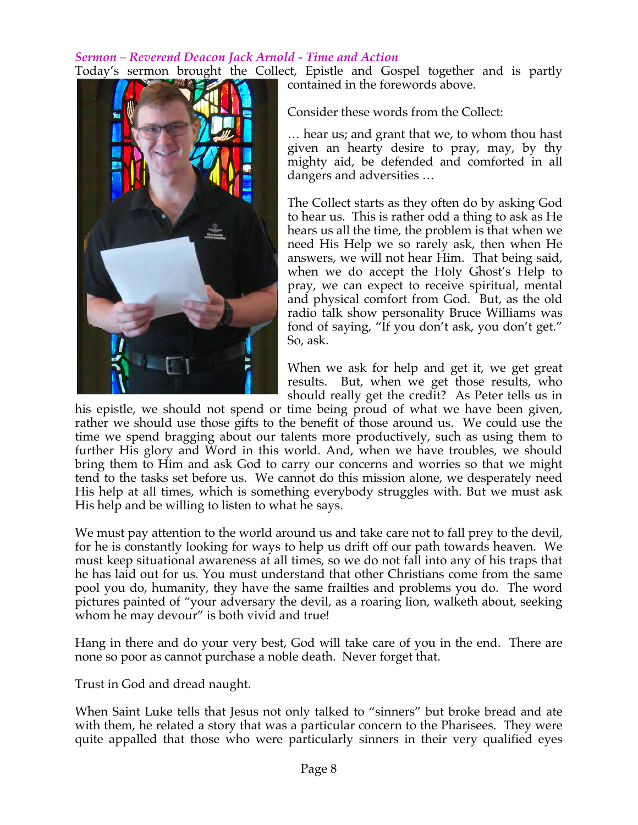#### *Sermon – Reverend Deacon Jack Arnold - Time and Action* Today's sermon brought the Collect, Epistle and Gospel together and is partly

contained in the forewords above.

Consider these words from the Collect:

… hear us; and grant that we, to whom thou hast given an hearty desire to pray, may, by thy mighty aid, be defended and comforted in all dangers and adversities …

The Collect starts as they often do by asking God to hear us. This is rather odd a thing to ask as He hears us all the time, the problem is that when we need His Help we so rarely ask, then when He answers, we will not hear Him. That being said, when we do accept the Holy Ghost's Help to pray, we can expect to receive spiritual, mental and physical comfort from God. But, as the old radio talk show personality Bruce Williams was fond of saying, "If you don't ask, you don't get." So, ask.

When we ask for help and get it, we get great results. But, when we get those results, who should really get the credit? As Peter tells us in

his epistle, we should not spend or time being proud of what we have been given, rather we should use those gifts to the benefit of those around us. We could use the time we spend bragging about our talents more productively, such as using them to further His glory and Word in this world. And, when we have troubles, we should bring them to Him and ask God to carry our concerns and worries so that we might tend to the tasks set before us. We cannot do this mission alone, we desperately need His help at all times, which is something everybody struggles with. But we must ask His help and be willing to listen to what he says.

We must pay attention to the world around us and take care not to fall prey to the devil, for he is constantly looking for ways to help us drift off our path towards heaven. We must keep situational awareness at all times, so we do not fall into any of his traps that he has laid out for us. You must understand that other Christians come from the same pool you do, humanity, they have the same frailties and problems you do. The word pictures painted of "your adversary the devil, as a roaring lion, walketh about, seeking whom he may devour" is both vivid and true!

Hang in there and do your very best, God will take care of you in the end. There are none so poor as cannot purchase a noble death. Never forget that.

Trust in God and dread naught.

When Saint Luke tells that Jesus not only talked to "sinners" but broke bread and ate with them, he related a story that was a particular concern to the Pharisees. They were quite appalled that those who were particularly sinners in their very qualified eyes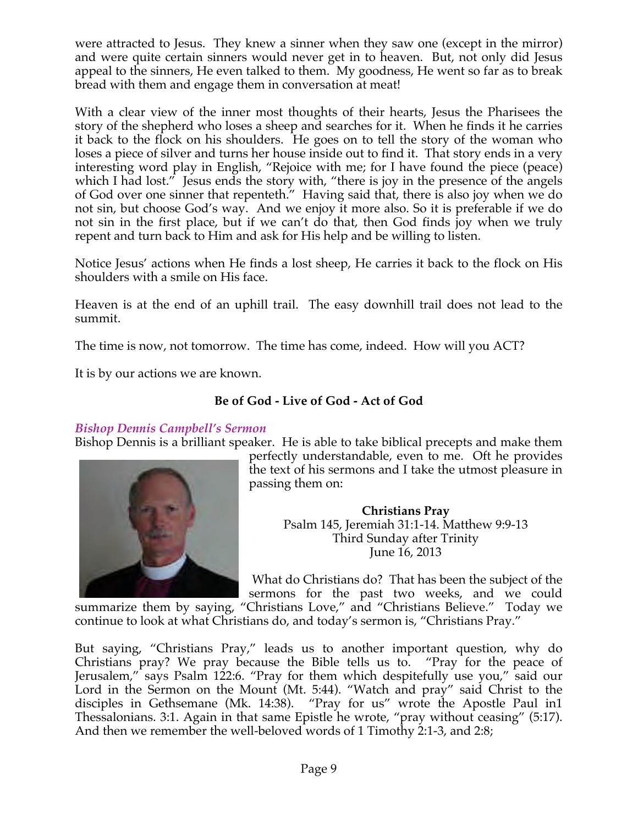were attracted to Jesus. They knew a sinner when they saw one (except in the mirror) and were quite certain sinners would never get in to heaven. But, not only did Jesus appeal to the sinners, He even talked to them. My goodness, He went so far as to break bread with them and engage them in conversation at meat!

With a clear view of the inner most thoughts of their hearts, Jesus the Pharisees the story of the shepherd who loses a sheep and searches for it. When he finds it he carries it back to the flock on his shoulders. He goes on to tell the story of the woman who loses a piece of silver and turns her house inside out to find it. That story ends in a very interesting word play in English, "Rejoice with me; for I have found the piece (peace) which I had lost." Jesus ends the story with, "there is joy in the presence of the angels of God over one sinner that repenteth." Having said that, there is also joy when we do not sin, but choose God's way. And we enjoy it more also. So it is preferable if we do not sin in the first place, but if we can't do that, then God finds joy when we truly repent and turn back to Him and ask for His help and be willing to listen.

Notice Jesus' actions when He finds a lost sheep, He carries it back to the flock on His shoulders with a smile on His face.

Heaven is at the end of an uphill trail. The easy downhill trail does not lead to the summit.

The time is now, not tomorrow. The time has come, indeed. How will you ACT?

It is by our actions we are known.

# **Be of God - Live of God - Act of God**

# *Bishop Dennis Campbell's Sermon*

Bishop Dennis is a brilliant speaker. He is able to take biblical precepts and make them



perfectly understandable, even to me. Oft he provides the text of his sermons and I take the utmost pleasure in passing them on:

> **Christians Pray** Psalm 145, Jeremiah 31:1-14. Matthew 9:9-13 Third Sunday after Trinity June 16, 2013

 What do Christians do? That has been the subject of the sermons for the past two weeks, and we could

summarize them by saying, "Christians Love," and "Christians Believe." Today we continue to look at what Christians do, and today's sermon is, "Christians Pray."

But saying, "Christians Pray," leads us to another important question, why do Christians pray? We pray because the Bible tells us to. "Pray for the peace of Jerusalem," says Psalm 122:6. "Pray for them which despitefully use you," said our Lord in the Sermon on the Mount (Mt. 5:44). "Watch and pray" said Christ to the disciples in Gethsemane (Mk. 14:38). "Pray for us" wrote the Apostle Paul in1 Thessalonians. 3:1. Again in that same Epistle he wrote, "pray without ceasing" (5:17). And then we remember the well-beloved words of 1 Timothy 2:1-3, and 2:8;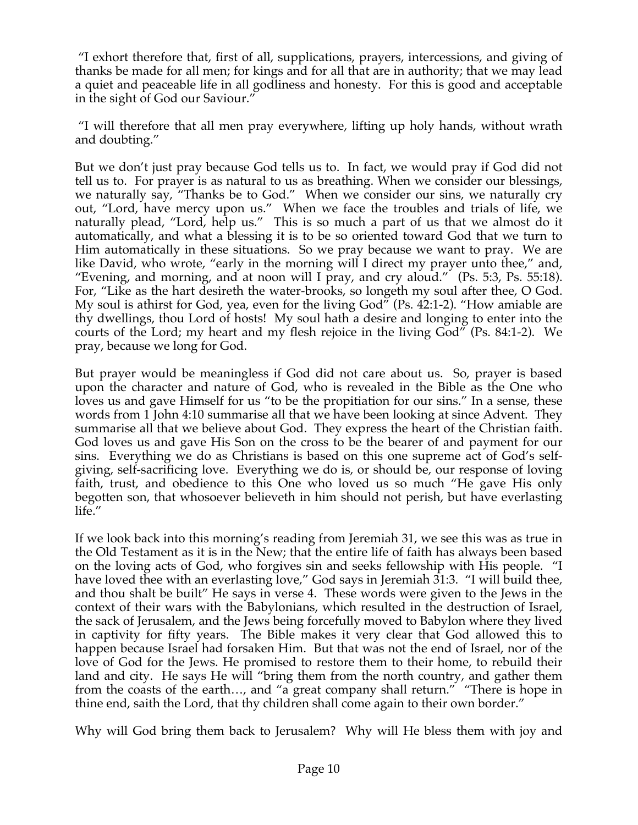"I exhort therefore that, first of all, supplications, prayers, intercessions, and giving of thanks be made for all men; for kings and for all that are in authority; that we may lead a quiet and peaceable life in all godliness and honesty. For this is good and acceptable in the sight of God our Saviour."

 "I will therefore that all men pray everywhere, lifting up holy hands, without wrath and doubting."

But we don't just pray because God tells us to. In fact, we would pray if God did not tell us to. For prayer is as natural to us as breathing. When we consider our blessings, we naturally say, "Thanks be to God." When we consider our sins, we naturally cry out, "Lord, have mercy upon us." When we face the troubles and trials of life, we naturally plead, "Lord, help us." This is so much a part of us that we almost do it automatically, and what a blessing it is to be so oriented toward God that we turn to Him automatically in these situations. So we pray because we want to pray. We are like David, who wrote, "early in the morning will I direct my prayer unto thee," and, "Evening, and morning, and at noon will I pray, and cry aloud." (Ps. 5:3, Ps. 55:18). For, "Like as the hart desireth the water-brooks, so longeth my soul after thee, O God. My soul is athirst for God, yea, even for the living God" (Ps. 42:1-2). "How amiable are thy dwellings, thou Lord of hosts! My soul hath a desire and longing to enter into the courts of the Lord; my heart and my flesh rejoice in the living God" (Ps. 84:1-2). We pray, because we long for God.

But prayer would be meaningless if God did not care about us. So, prayer is based upon the character and nature of God, who is revealed in the Bible as the One who loves us and gave Himself for us "to be the propitiation for our sins." In a sense, these words from 1 John 4:10 summarise all that we have been looking at since Advent. They summarise all that we believe about God. They express the heart of the Christian faith. God loves us and gave His Son on the cross to be the bearer of and payment for our sins. Everything we do as Christians is based on this one supreme act of God's selfgiving, self-sacrificing love. Everything we do is, or should be, our response of loving faith, trust, and obedience to this One who loved us so much "He gave His only begotten son, that whosoever believeth in him should not perish, but have everlasting life."

If we look back into this morning's reading from Jeremiah 31, we see this was as true in the Old Testament as it is in the New; that the entire life of faith has always been based on the loving acts of God, who forgives sin and seeks fellowship with His people. "I have loved thee with an everlasting love," God says in Jeremiah 31:3. "I will build thee, and thou shalt be built" He says in verse 4. These words were given to the Jews in the context of their wars with the Babylonians, which resulted in the destruction of Israel, the sack of Jerusalem, and the Jews being forcefully moved to Babylon where they lived in captivity for fifty years. The Bible makes it very clear that God allowed this to happen because Israel had forsaken Him. But that was not the end of Israel, nor of the love of God for the Jews. He promised to restore them to their home, to rebuild their land and city. He says He will "bring them from the north country, and gather them from the coasts of the earth…, and "a great company shall return." "There is hope in thine end, saith the Lord, that thy children shall come again to their own border."

Why will God bring them back to Jerusalem? Why will He bless them with joy and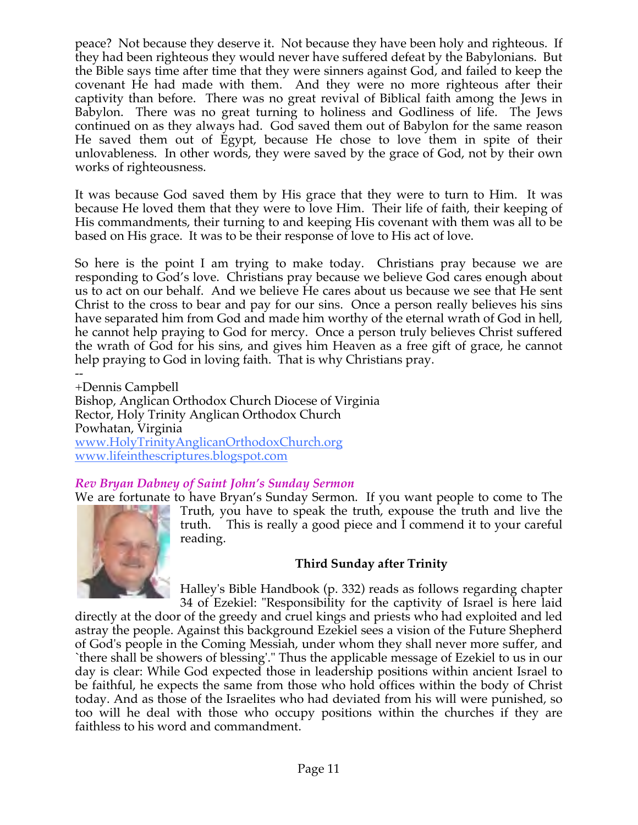peace? Not because they deserve it. Not because they have been holy and righteous. If they had been righteous they would never have suffered defeat by the Babylonians. But the Bible says time after time that they were sinners against God, and failed to keep the covenant He had made with them. And they were no more righteous after their captivity than before. There was no great revival of Biblical faith among the Jews in Babylon. There was no great turning to holiness and Godliness of life. The Jews continued on as they always had. God saved them out of Babylon for the same reason He saved them out of Egypt, because He chose to love them in spite of their unlovableness. In other words, they were saved by the grace of God, not by their own works of righteousness.

It was because God saved them by His grace that they were to turn to Him. It was because He loved them that they were to love Him. Their life of faith, their keeping of His commandments, their turning to and keeping His covenant with them was all to be based on His grace. It was to be their response of love to His act of love.

So here is the point I am trying to make today. Christians pray because we are responding to God's love. Christians pray because we believe God cares enough about us to act on our behalf. And we believe He cares about us because we see that He sent Christ to the cross to bear and pay for our sins. Once a person really believes his sins have separated him from God and made him worthy of the eternal wrath of God in hell, he cannot help praying to God for mercy. Once a person truly believes Christ suffered the wrath of God for his sins, and gives him Heaven as a free gift of grace, he cannot help praying to God in loving faith. That is why Christians pray.

-- +Dennis Campbell Bishop, Anglican Orthodox Church Diocese of Virginia Rector, Holy Trinity Anglican Orthodox Church Powhatan, Virginia www.HolyTrinityAnglicanOrthodoxChurch.org www.lifeinthescriptures.blogspot.com

# *Rev Bryan Dabney of Saint John's Sunday Sermon*

We are fortunate to have Bryan's Sunday Sermon. If you want people to come to The



Truth, you have to speak the truth, expouse the truth and live the truth. This is really a good piece and I commend it to your careful reading.

# **Third Sunday after Trinity**

Halley's Bible Handbook (p. 332) reads as follows regarding chapter 34 of Ezekiel: "Responsibility for the captivity of Israel is here laid

directly at the door of the greedy and cruel kings and priests who had exploited and led astray the people. Against this background Ezekiel sees a vision of the Future Shepherd of God's people in the Coming Messiah, under whom they shall never more suffer, and `there shall be showers of blessing'." Thus the applicable message of Ezekiel to us in our day is clear: While God expected those in leadership positions within ancient Israel to be faithful, he expects the same from those who hold offices within the body of Christ today. And as those of the Israelites who had deviated from his will were punished, so too will he deal with those who occupy positions within the churches if they are faithless to his word and commandment.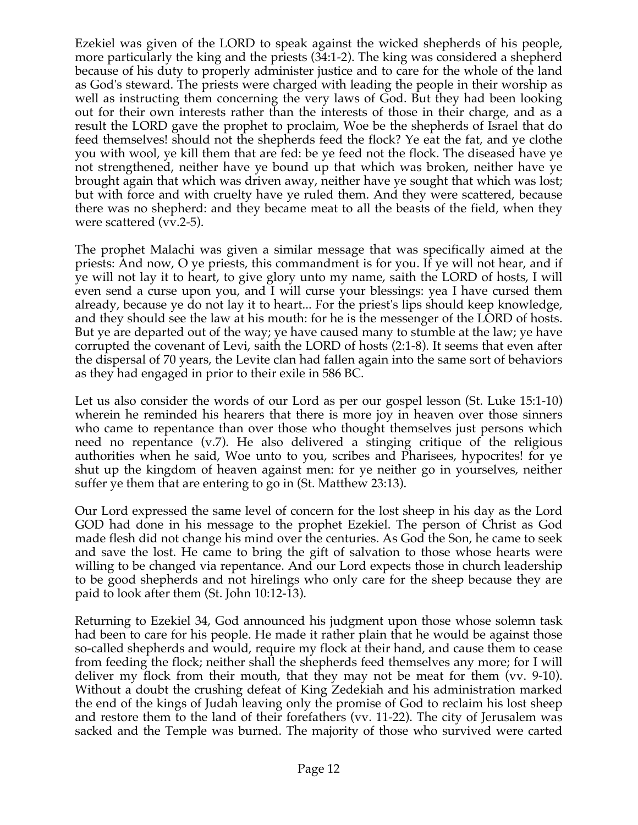Ezekiel was given of the LORD to speak against the wicked shepherds of his people, more particularly the king and the priests (34:1-2). The king was considered a shepherd because of his duty to properly administer justice and to care for the whole of the land as God's steward. The priests were charged with leading the people in their worship as well as instructing them concerning the very laws of God. But they had been looking out for their own interests rather than the interests of those in their charge, and as a result the LORD gave the prophet to proclaim, Woe be the shepherds of Israel that do feed themselves! should not the shepherds feed the flock? Ye eat the fat, and ye clothe you with wool, ye kill them that are fed: be ye feed not the flock. The diseased have ye not strengthened, neither have ye bound up that which was broken, neither have ye brought again that which was driven away, neither have ye sought that which was lost; but with force and with cruelty have ye ruled them. And they were scattered, because there was no shepherd: and they became meat to all the beasts of the field, when they were scattered (vv.2-5).

The prophet Malachi was given a similar message that was specifically aimed at the priests: And now, O ye priests, this commandment is for you. If ye will not hear, and if ye will not lay it to heart, to give glory unto my name, saith the LORD of hosts, I will even send a curse upon you, and I will curse your blessings: yea I have cursed them already, because ye do not lay it to heart... For the priest's lips should keep knowledge, and they should see the law at his mouth: for he is the messenger of the LORD of hosts. But ye are departed out of the way; ye have caused many to stumble at the law; ye have corrupted the covenant of Levi, saith the LORD of hosts (2:1-8). It seems that even after the dispersal of 70 years, the Levite clan had fallen again into the same sort of behaviors as they had engaged in prior to their exile in 586 BC.

Let us also consider the words of our Lord as per our gospel lesson (St. Luke 15:1-10) wherein he reminded his hearers that there is more joy in heaven over those sinners who came to repentance than over those who thought themselves just persons which need no repentance (v.7). He also delivered a stinging critique of the religious authorities when he said, Woe unto to you, scribes and Pharisees, hypocrites! for ye shut up the kingdom of heaven against men: for ye neither go in yourselves, neither suffer ye them that are entering to go in (St. Matthew 23:13).

Our Lord expressed the same level of concern for the lost sheep in his day as the Lord GOD had done in his message to the prophet Ezekiel. The person of Christ as God made flesh did not change his mind over the centuries. As God the Son, he came to seek and save the lost. He came to bring the gift of salvation to those whose hearts were willing to be changed via repentance. And our Lord expects those in church leadership to be good shepherds and not hirelings who only care for the sheep because they are paid to look after them (St. John 10:12-13).

Returning to Ezekiel 34, God announced his judgment upon those whose solemn task had been to care for his people. He made it rather plain that he would be against those so-called shepherds and would, require my flock at their hand, and cause them to cease from feeding the flock; neither shall the shepherds feed themselves any more; for I will deliver my flock from their mouth, that they may not be meat for them (vv. 9-10). Without a doubt the crushing defeat of King Zedekiah and his administration marked the end of the kings of Judah leaving only the promise of God to reclaim his lost sheep and restore them to the land of their forefathers (vv. 11-22). The city of Jerusalem was sacked and the Temple was burned. The majority of those who survived were carted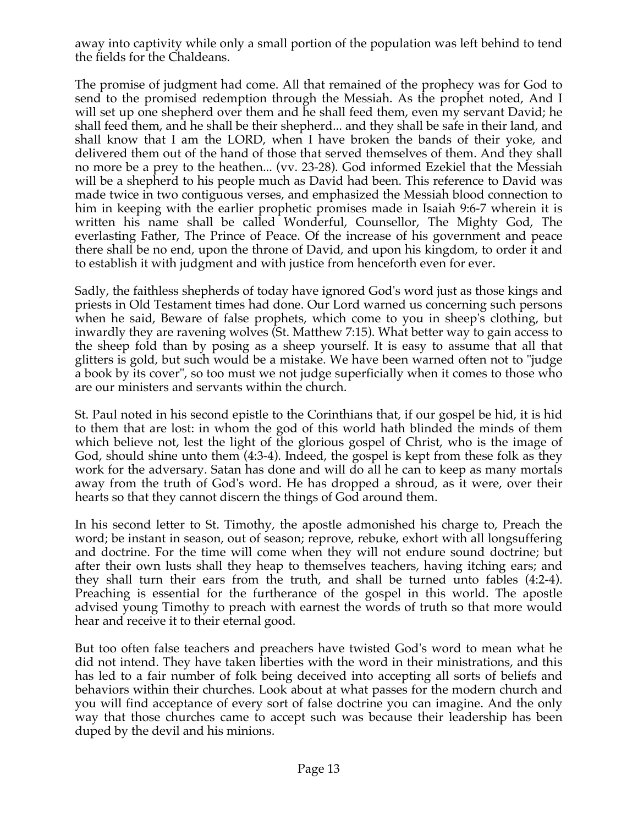away into captivity while only a small portion of the population was left behind to tend the fields for the Chaldeans.

The promise of judgment had come. All that remained of the prophecy was for God to send to the promised redemption through the Messiah. As the prophet noted, And I will set up one shepherd over them and he shall feed them, even my servant David; he shall feed them, and he shall be their shepherd... and they shall be safe in their land, and shall know that I am the LORD, when I have broken the bands of their yoke, and delivered them out of the hand of those that served themselves of them. And they shall no more be a prey to the heathen... (vv. 23-28). God informed Ezekiel that the Messiah will be a shepherd to his people much as David had been. This reference to David was made twice in two contiguous verses, and emphasized the Messiah blood connection to him in keeping with the earlier prophetic promises made in Isaiah 9:6-7 wherein it is written his name shall be called Wonderful, Counsellor, The Mighty God, The everlasting Father, The Prince of Peace. Of the increase of his government and peace there shall be no end, upon the throne of David, and upon his kingdom, to order it and to establish it with judgment and with justice from henceforth even for ever.

Sadly, the faithless shepherds of today have ignored God's word just as those kings and priests in Old Testament times had done. Our Lord warned us concerning such persons when he said, Beware of false prophets, which come to you in sheep's clothing, but inwardly they are ravening wolves (St. Matthew 7:15). What better way to gain access to the sheep fold than by posing as a sheep yourself. It is easy to assume that all that glitters is gold, but such would be a mistake. We have been warned often not to "judge a book by its cover", so too must we not judge superficially when it comes to those who are our ministers and servants within the church.

St. Paul noted in his second epistle to the Corinthians that, if our gospel be hid, it is hid to them that are lost: in whom the god of this world hath blinded the minds of them which believe not, lest the light of the glorious gospel of Christ, who is the image of God, should shine unto them (4:3-4). Indeed, the gospel is kept from these folk as they work for the adversary. Satan has done and will do all he can to keep as many mortals away from the truth of God's word. He has dropped a shroud, as it were, over their hearts so that they cannot discern the things of God around them.

In his second letter to St. Timothy, the apostle admonished his charge to, Preach the word; be instant in season, out of season; reprove, rebuke, exhort with all longsuffering and doctrine. For the time will come when they will not endure sound doctrine; but after their own lusts shall they heap to themselves teachers, having itching ears; and they shall turn their ears from the truth, and shall be turned unto fables (4:2-4). Preaching is essential for the furtherance of the gospel in this world. The apostle advised young Timothy to preach with earnest the words of truth so that more would hear and receive it to their eternal good.

But too often false teachers and preachers have twisted God's word to mean what he did not intend. They have taken liberties with the word in their ministrations, and this has led to a fair number of folk being deceived into accepting all sorts of beliefs and behaviors within their churches. Look about at what passes for the modern church and you will find acceptance of every sort of false doctrine you can imagine. And the only way that those churches came to accept such was because their leadership has been duped by the devil and his minions.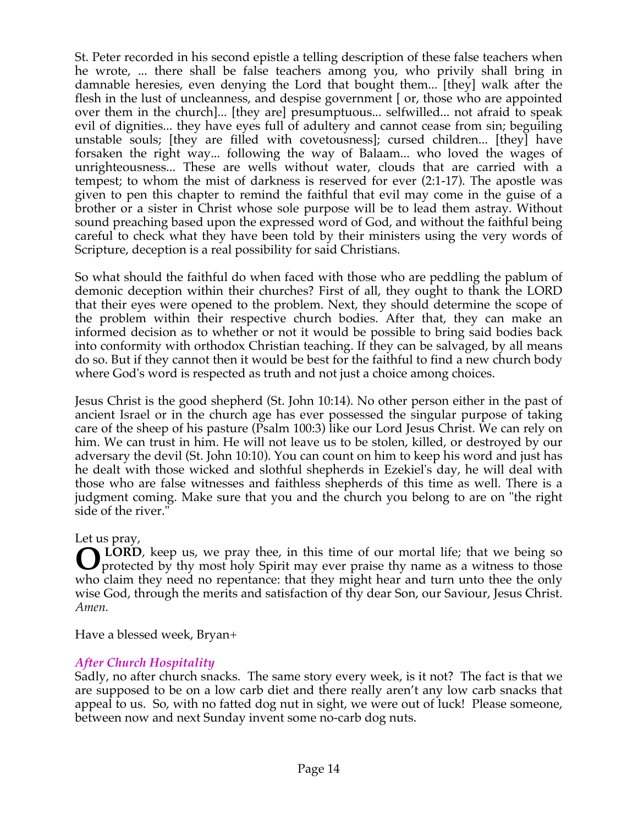St. Peter recorded in his second epistle a telling description of these false teachers when he wrote, ... there shall be false teachers among you, who privily shall bring in damnable heresies, even denying the Lord that bought them... [they] walk after the flesh in the lust of uncleanness, and despise government [ or, those who are appointed over them in the church]... [they are] presumptuous... selfwilled... not afraid to speak evil of dignities... they have eyes full of adultery and cannot cease from sin; beguiling unstable souls; [they are filled with covetousness]; cursed children... [they] have forsaken the right way... following the way of Balaam... who loved the wages of unrighteousness... These are wells without water, clouds that are carried with a tempest; to whom the mist of darkness is reserved for ever (2:1-17). The apostle was given to pen this chapter to remind the faithful that evil may come in the guise of a brother or a sister in Christ whose sole purpose will be to lead them astray. Without sound preaching based upon the expressed word of God, and without the faithful being careful to check what they have been told by their ministers using the very words of Scripture, deception is a real possibility for said Christians.

So what should the faithful do when faced with those who are peddling the pablum of demonic deception within their churches? First of all, they ought to thank the LORD that their eyes were opened to the problem. Next, they should determine the scope of the problem within their respective church bodies. After that, they can make an informed decision as to whether or not it would be possible to bring said bodies back into conformity with orthodox Christian teaching. If they can be salvaged, by all means do so. But if they cannot then it would be best for the faithful to find a new church body where God's word is respected as truth and not just a choice among choices.

Jesus Christ is the good shepherd (St. John 10:14). No other person either in the past of ancient Israel or in the church age has ever possessed the singular purpose of taking care of the sheep of his pasture (Psalm 100:3) like our Lord Jesus Christ. We can rely on him. We can trust in him. He will not leave us to be stolen, killed, or destroyed by our adversary the devil (St. John 10:10). You can count on him to keep his word and just has he dealt with those wicked and slothful shepherds in Ezekiel's day, he will deal with those who are false witnesses and faithless shepherds of this time as well. There is a judgment coming. Make sure that you and the church you belong to are on "the right side of the river."

Let us pray,

 **LORD**, keep us, we pray thee, in this time of our mortal life; that we being so **Q** LORD, keep us, we pray thee, in this time of our mortal life; that we being so protected by thy most holy Spirit may ever praise thy name as a witness to those who claim they need no repentance: that they might hear and turn unto thee the only wise God, through the merits and satisfaction of thy dear Son, our Saviour, Jesus Christ. *Amen.*

Have a blessed week, Bryan+

# *After Church Hospitality*

Sadly, no after church snacks. The same story every week, is it not? The fact is that we are supposed to be on a low carb diet and there really aren't any low carb snacks that appeal to us. So, with no fatted dog nut in sight, we were out of luck! Please someone, between now and next Sunday invent some no-carb dog nuts.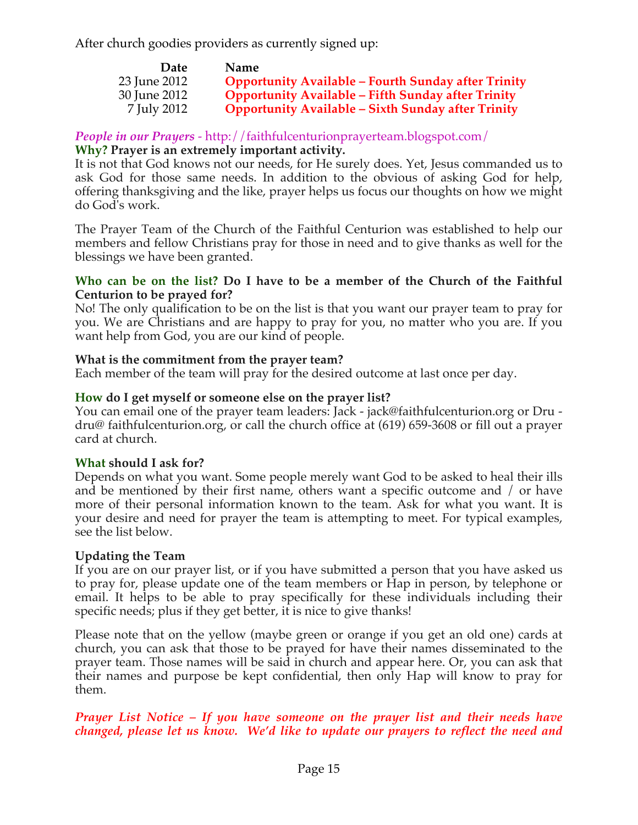After church goodies providers as currently signed up:

| <b>Date</b>  | <b>Name</b>                                                |
|--------------|------------------------------------------------------------|
| 23 June 2012 | <b>Opportunity Available - Fourth Sunday after Trinity</b> |
| 30 June 2012 | <b>Opportunity Available - Fifth Sunday after Trinity</b>  |
| 7 July 2012  | <b>Opportunity Available – Sixth Sunday after Trinity</b>  |

# *People in our Prayers* - http://faithfulcenturionprayerteam.blogspot.com/

# **Why? Prayer is an extremely important activity.**

It is not that God knows not our needs, for He surely does. Yet, Jesus commanded us to ask God for those same needs. In addition to the obvious of asking God for help, offering thanksgiving and the like, prayer helps us focus our thoughts on how we might do God's work.

The Prayer Team of the Church of the Faithful Centurion was established to help our members and fellow Christians pray for those in need and to give thanks as well for the blessings we have been granted.

## **Who can be on the list? Do I have to be a member of the Church of the Faithful Centurion to be prayed for?**

No! The only qualification to be on the list is that you want our prayer team to pray for you. We are Christians and are happy to pray for you, no matter who you are. If you want help from God, you are our kind of people.

## **What is the commitment from the prayer team?**

Each member of the team will pray for the desired outcome at last once per day.

## **How do I get myself or someone else on the prayer list?**

You can email one of the prayer team leaders: Jack - jack@faithfulcenturion.org or Dru dru@ faithfulcenturion.org, or call the church office at (619) 659-3608 or fill out a prayer card at church.

## **What should I ask for?**

Depends on what you want. Some people merely want God to be asked to heal their ills and be mentioned by their first name, others want a specific outcome and / or have more of their personal information known to the team. Ask for what you want. It is your desire and need for prayer the team is attempting to meet. For typical examples, see the list below.

# **Updating the Team**

If you are on our prayer list, or if you have submitted a person that you have asked us to pray for, please update one of the team members or Hap in person, by telephone or email. It helps to be able to pray specifically for these individuals including their specific needs; plus if they get better, it is nice to give thanks!

Please note that on the yellow (maybe green or orange if you get an old one) cards at church, you can ask that those to be prayed for have their names disseminated to the prayer team. Those names will be said in church and appear here. Or, you can ask that their names and purpose be kept confidential, then only Hap will know to pray for them.

## *Prayer List Notice – If you have someone on the prayer list and their needs have changed, please let us know. We'd like to update our prayers to reflect the need and*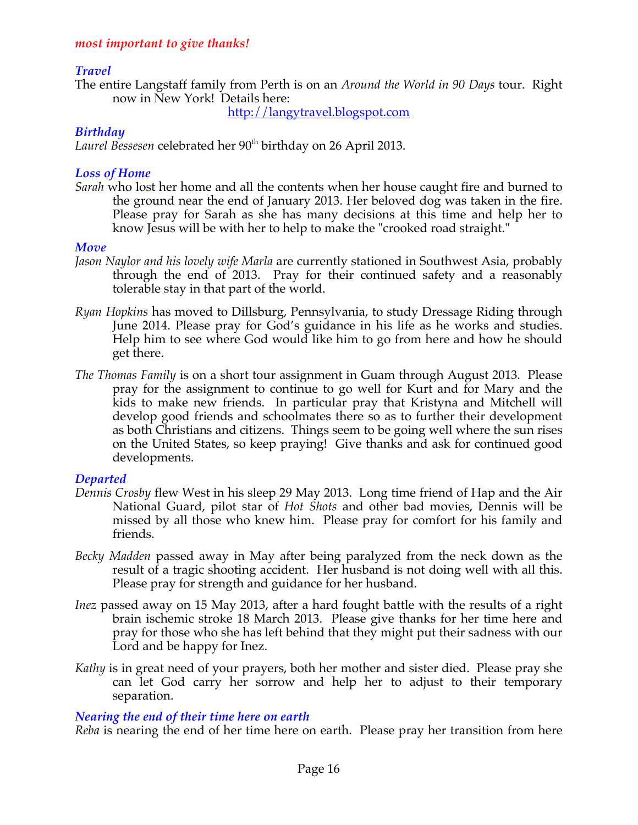## *most important to give thanks!*

# *Travel*

The entire Langstaff family from Perth is on an *Around the World in 90 Days* tour. Right now in New York! Details here:

http://langytravel.blogspot.com

# *Birthday*

Laurel Bessesen celebrated her 90<sup>th</sup> birthday on 26 April 2013.

#### *Loss of Home*

*Sarah* who lost her home and all the contents when her house caught fire and burned to the ground near the end of January 2013. Her beloved dog was taken in the fire. Please pray for Sarah as she has many decisions at this time and help her to know Jesus will be with her to help to make the "crooked road straight."

#### *Move*

- *Jason Naylor and his lovely wife Marla* are currently stationed in Southwest Asia, probably through the end of 2013. Pray for their continued safety and a reasonably tolerable stay in that part of the world.
- *Ryan Hopkins* has moved to Dillsburg, Pennsylvania, to study Dressage Riding through June 2014. Please pray for God's guidance in his life as he works and studies. Help him to see where God would like him to go from here and how he should get there.
- *The Thomas Family* is on a short tour assignment in Guam through August 2013. Please pray for the assignment to continue to go well for Kurt and for Mary and the kids to make new friends. In particular pray that Kristyna and Mitchell will develop good friends and schoolmates there so as to further their development as both Christians and citizens. Things seem to be going well where the sun rises on the United States, so keep praying! Give thanks and ask for continued good developments.

## *Departed*

- *Dennis Crosby* flew West in his sleep 29 May 2013. Long time friend of Hap and the Air National Guard, pilot star of *Hot Shots* and other bad movies, Dennis will be missed by all those who knew him. Please pray for comfort for his family and friends.
- *Becky Madden* passed away in May after being paralyzed from the neck down as the result of a tragic shooting accident. Her husband is not doing well with all this. Please pray for strength and guidance for her husband.
- *Inez* passed away on 15 May 2013, after a hard fought battle with the results of a right brain ischemic stroke 18 March 2013. Please give thanks for her time here and pray for those who she has left behind that they might put their sadness with our Lord and be happy for Inez.
- *Kathy* is in great need of your prayers, both her mother and sister died. Please pray she can let God carry her sorrow and help her to adjust to their temporary separation.

## *Nearing the end of their time here on earth*

*Reba* is nearing the end of her time here on earth. Please pray her transition from here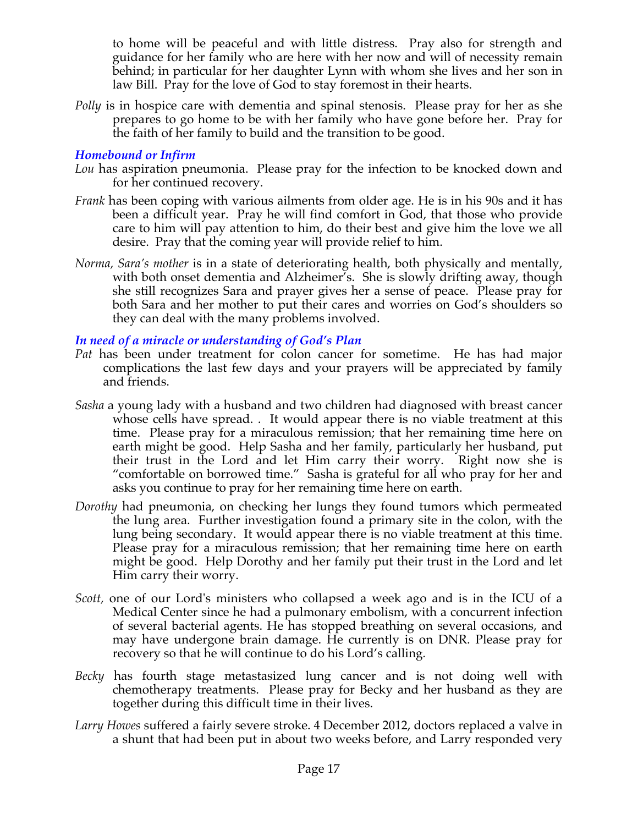to home will be peaceful and with little distress. Pray also for strength and guidance for her family who are here with her now and will of necessity remain behind; in particular for her daughter Lynn with whom she lives and her son in law Bill. Pray for the love of God to stay foremost in their hearts.

*Polly* is in hospice care with dementia and spinal stenosis. Please pray for her as she prepares to go home to be with her family who have gone before her. Pray for the faith of her family to build and the transition to be good.

## *Homebound or Infirm*

- *Lou* has aspiration pneumonia. Please pray for the infection to be knocked down and for her continued recovery.
- *Frank* has been coping with various ailments from older age. He is in his 90s and it has been a difficult year. Pray he will find comfort in God, that those who provide care to him will pay attention to him, do their best and give him the love we all desire. Pray that the coming year will provide relief to him.
- *Norma, Sara's mother* is in a state of deteriorating health, both physically and mentally, with both onset dementia and Alzheimer's. She is slowly drifting away, though she still recognizes Sara and prayer gives her a sense of peace. Please pray for both Sara and her mother to put their cares and worries on God's shoulders so they can deal with the many problems involved.

# *In need of a miracle or understanding of God's Plan*

- *Pat* has been under treatment for colon cancer for sometime. He has had major complications the last few days and your prayers will be appreciated by family and friends.
- *Sasha* a young lady with a husband and two children had diagnosed with breast cancer whose cells have spread. . It would appear there is no viable treatment at this time. Please pray for a miraculous remission; that her remaining time here on earth might be good. Help Sasha and her family, particularly her husband, put their trust in the Lord and let Him carry their worry. Right now she is "comfortable on borrowed time." Sasha is grateful for all who pray for her and asks you continue to pray for her remaining time here on earth.
- *Dorothy* had pneumonia, on checking her lungs they found tumors which permeated the lung area. Further investigation found a primary site in the colon, with the lung being secondary. It would appear there is no viable treatment at this time. Please pray for a miraculous remission; that her remaining time here on earth might be good. Help Dorothy and her family put their trust in the Lord and let Him carry their worry.
- *Scott,* one of our Lord's ministers who collapsed a week ago and is in the ICU of a Medical Center since he had a pulmonary embolism, with a concurrent infection of several bacterial agents. He has stopped breathing on several occasions, and may have undergone brain damage. He currently is on DNR. Please pray for recovery so that he will continue to do his Lord's calling*.*
- *Becky* has fourth stage metastasized lung cancer and is not doing well with chemotherapy treatments. Please pray for Becky and her husband as they are together during this difficult time in their lives.
- *Larry Howes* suffered a fairly severe stroke. 4 December 2012, doctors replaced a valve in a shunt that had been put in about two weeks before, and Larry responded very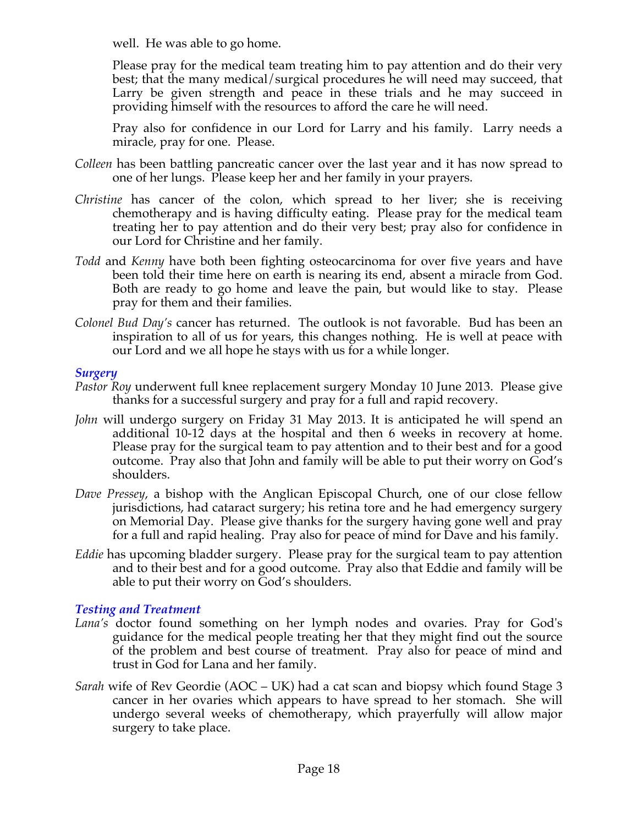well. He was able to go home.

Please pray for the medical team treating him to pay attention and do their very best; that the many medical/surgical procedures he will need may succeed, that Larry be given strength and peace in these trials and he may succeed in providing himself with the resources to afford the care he will need.

Pray also for confidence in our Lord for Larry and his family. Larry needs a miracle, pray for one. Please.

- *Colleen* has been battling pancreatic cancer over the last year and it has now spread to one of her lungs. Please keep her and her family in your prayers.
- *Christine* has cancer of the colon, which spread to her liver; she is receiving chemotherapy and is having difficulty eating. Please pray for the medical team treating her to pay attention and do their very best; pray also for confidence in our Lord for Christine and her family.
- *Todd* and *Kenny* have both been fighting osteocarcinoma for over five years and have been told their time here on earth is nearing its end, absent a miracle from God. Both are ready to go home and leave the pain, but would like to stay. Please pray for them and their families.
- *Colonel Bud Day's* cancer has returned. The outlook is not favorable. Bud has been an inspiration to all of us for years, this changes nothing. He is well at peace with our Lord and we all hope he stays with us for a while longer.

## *Surgery*

- *Pastor Roy* underwent full knee replacement surgery Monday 10 June 2013. Please give thanks for a successful surgery and pray for a full and rapid recovery.
- *John* will undergo surgery on Friday 31 May 2013. It is anticipated he will spend an additional 10-12 days at the hospital and then 6 weeks in recovery at home. Please pray for the surgical team to pay attention and to their best and for a good outcome. Pray also that John and family will be able to put their worry on God's shoulders.
- *Dave Pressey*, a bishop with the Anglican Episcopal Church, one of our close fellow jurisdictions, had cataract surgery; his retina tore and he had emergency surgery on Memorial Day. Please give thanks for the surgery having gone well and pray for a full and rapid healing. Pray also for peace of mind for Dave and his family.
- *Eddie* has upcoming bladder surgery. Please pray for the surgical team to pay attention and to their best and for a good outcome. Pray also that Eddie and family will be able to put their worry on God's shoulders.

# *Testing and Treatment*

- *Lana's* doctor found something on her lymph nodes and ovaries. Pray for God's guidance for the medical people treating her that they might find out the source of the problem and best course of treatment. Pray also for peace of mind and trust in God for Lana and her family.
- *Sarah* wife of Rev Geordie (AOC UK) had a cat scan and biopsy which found Stage 3 cancer in her ovaries which appears to have spread to her stomach. She will undergo several weeks of chemotherapy, which prayerfully will allow major surgery to take place.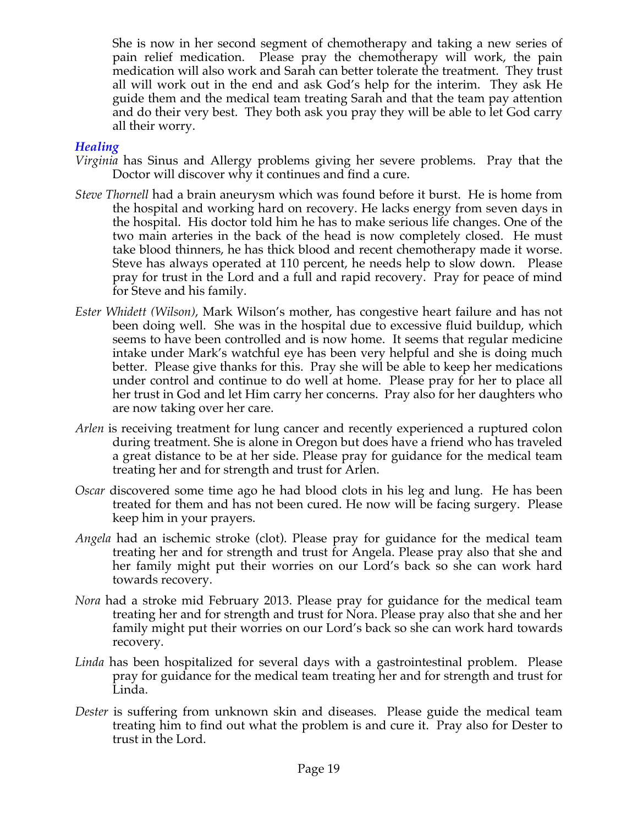She is now in her second segment of chemotherapy and taking a new series of pain relief medication. Please pray the chemotherapy will work, the pain medication will also work and Sarah can better tolerate the treatment. They trust all will work out in the end and ask God's help for the interim. They ask He guide them and the medical team treating Sarah and that the team pay attention and do their very best. They both ask you pray they will be able to let God carry all their worry.

## *Healing*

- *Virginia* has Sinus and Allergy problems giving her severe problems. Pray that the Doctor will discover why it continues and find a cure.
- *Steve Thornell* had a brain aneurysm which was found before it burst. He is home from the hospital and working hard on recovery. He lacks energy from seven days in the hospital. His doctor told him he has to make serious life changes. One of the two main arteries in the back of the head is now completely closed. He must take blood thinners, he has thick blood and recent chemotherapy made it worse. Steve has always operated at 110 percent, he needs help to slow down. Please pray for trust in the Lord and a full and rapid recovery. Pray for peace of mind for Steve and his family.
- *Ester Whidett (Wilson)*, Mark Wilson's mother, has congestive heart failure and has not been doing well. She was in the hospital due to excessive fluid buildup, which seems to have been controlled and is now home. It seems that regular medicine intake under Mark's watchful eye has been very helpful and she is doing much better. Please give thanks for this. Pray she will be able to keep her medications under control and continue to do well at home. Please pray for her to place all her trust in God and let Him carry her concerns. Pray also for her daughters who are now taking over her care.
- *Arlen* is receiving treatment for lung cancer and recently experienced a ruptured colon during treatment. She is alone in Oregon but does have a friend who has traveled a great distance to be at her side. Please pray for guidance for the medical team treating her and for strength and trust for Arlen.
- *Oscar* discovered some time ago he had blood clots in his leg and lung. He has been treated for them and has not been cured. He now will be facing surgery. Please keep him in your prayers.
- *Angela* had an ischemic stroke (clot). Please pray for guidance for the medical team treating her and for strength and trust for Angela. Please pray also that she and her family might put their worries on our Lord's back so she can work hard towards recovery.
- *Nora* had a stroke mid February 2013. Please pray for guidance for the medical team treating her and for strength and trust for Nora. Please pray also that she and her family might put their worries on our Lord's back so she can work hard towards recovery.
- *Linda* has been hospitalized for several days with a gastrointestinal problem. Please pray for guidance for the medical team treating her and for strength and trust for Linda.
- *Dester* is suffering from unknown skin and diseases. Please guide the medical team treating him to find out what the problem is and cure it. Pray also for Dester to trust in the Lord.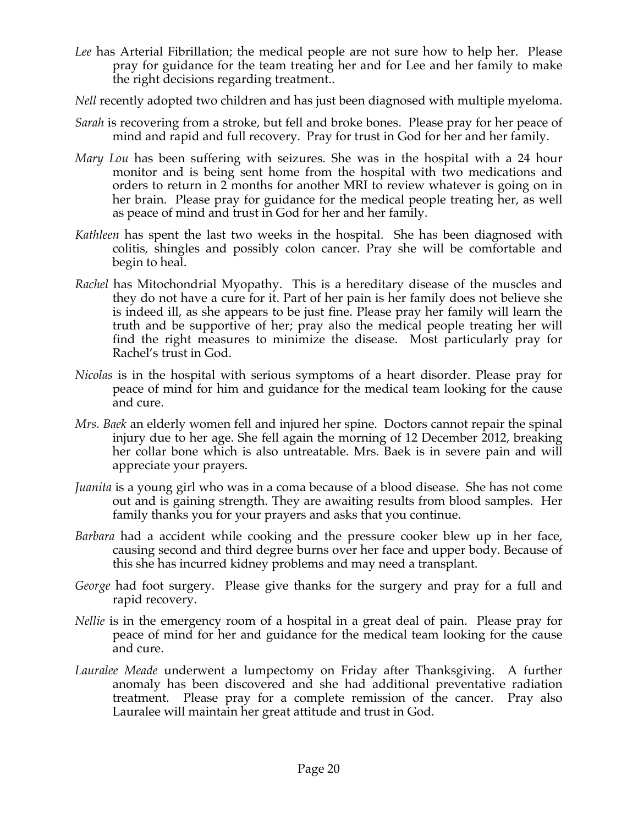- *Lee* has Arterial Fibrillation; the medical people are not sure how to help her. Please pray for guidance for the team treating her and for Lee and her family to make the right decisions regarding treatment..
- *Nell* recently adopted two children and has just been diagnosed with multiple myeloma.
- *Sarah* is recovering from a stroke, but fell and broke bones. Please pray for her peace of mind and rapid and full recovery. Pray for trust in God for her and her family.
- *Mary Lou* has been suffering with seizures. She was in the hospital with a 24 hour monitor and is being sent home from the hospital with two medications and orders to return in 2 months for another MRI to review whatever is going on in her brain. Please pray for guidance for the medical people treating her, as well as peace of mind and trust in God for her and her family.
- *Kathleen* has spent the last two weeks in the hospital. She has been diagnosed with colitis, shingles and possibly colon cancer. Pray she will be comfortable and begin to heal.
- *Rachel* has Mitochondrial Myopathy. This is a hereditary disease of the muscles and they do not have a cure for it. Part of her pain is her family does not believe she is indeed ill, as she appears to be just fine. Please pray her family will learn the truth and be supportive of her; pray also the medical people treating her will find the right measures to minimize the disease. Most particularly pray for Rachel's trust in God.
- *Nicolas* is in the hospital with serious symptoms of a heart disorder. Please pray for peace of mind for him and guidance for the medical team looking for the cause and cure.
- *Mrs. Baek* an elderly women fell and injured her spine. Doctors cannot repair the spinal injury due to her age. She fell again the morning of 12 December 2012, breaking her collar bone which is also untreatable. Mrs. Baek is in severe pain and will appreciate your prayers.
- *Juanita* is a young girl who was in a coma because of a blood disease. She has not come out and is gaining strength. They are awaiting results from blood samples. Her family thanks you for your prayers and asks that you continue.
- *Barbara* had a accident while cooking and the pressure cooker blew up in her face, causing second and third degree burns over her face and upper body. Because of this she has incurred kidney problems and may need a transplant.
- *George* had foot surgery. Please give thanks for the surgery and pray for a full and rapid recovery.
- *Nellie* is in the emergency room of a hospital in a great deal of pain. Please pray for peace of mind for her and guidance for the medical team looking for the cause and cure.
- *Lauralee Meade* underwent a lumpectomy on Friday after Thanksgiving. A further anomaly has been discovered and she had additional preventative radiation treatment. Please pray for a complete remission of the cancer. Pray also Lauralee will maintain her great attitude and trust in God.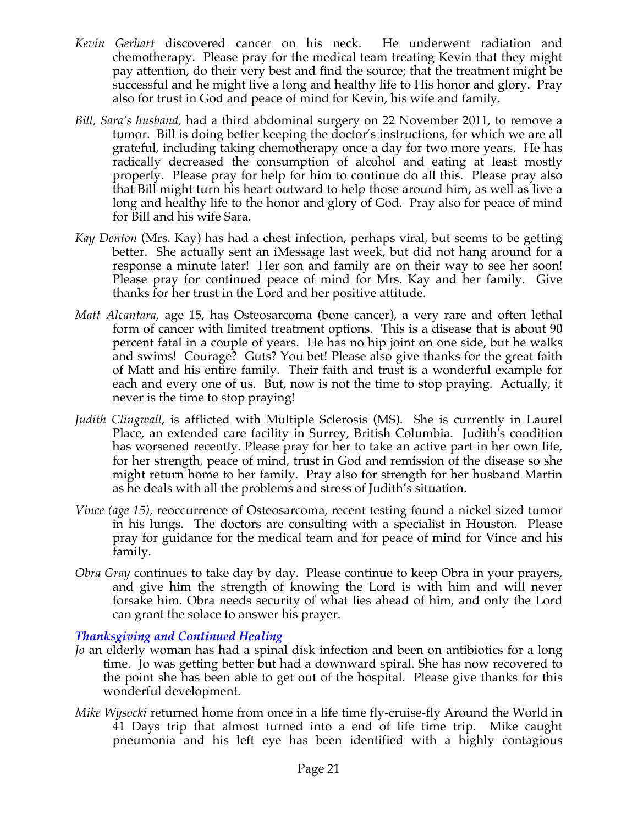- *Kevin Gerhart* discovered cancer on his neck. He underwent radiation and chemotherapy. Please pray for the medical team treating Kevin that they might pay attention, do their very best and find the source; that the treatment might be successful and he might live a long and healthy life to His honor and glory. Pray also for trust in God and peace of mind for Kevin, his wife and family.
- *Bill, Sara's husband,* had a third abdominal surgery on 22 November 2011, to remove a tumor. Bill is doing better keeping the doctor's instructions, for which we are all grateful, including taking chemotherapy once a day for two more years. He has radically decreased the consumption of alcohol and eating at least mostly properly. Please pray for help for him to continue do all this. Please pray also that Bill might turn his heart outward to help those around him, as well as live a long and healthy life to the honor and glory of God. Pray also for peace of mind for Bill and his wife Sara.
- *Kay Denton* (Mrs. Kay) has had a chest infection, perhaps viral, but seems to be getting better. She actually sent an iMessage last week, but did not hang around for a response a minute later! Her son and family are on their way to see her soon! Please pray for continued peace of mind for Mrs. Kay and her family. Give thanks for her trust in the Lord and her positive attitude.
- *Matt Alcantara*, age 15, has Osteosarcoma (bone cancer), a very rare and often lethal form of cancer with limited treatment options. This is a disease that is about 90 percent fatal in a couple of years. He has no hip joint on one side, but he walks and swims! Courage? Guts? You bet! Please also give thanks for the great faith of Matt and his entire family. Their faith and trust is a wonderful example for each and every one of us. But, now is not the time to stop praying. Actually, it never is the time to stop praying!
- *Judith Clingwall*, is afflicted with Multiple Sclerosis (MS). She is currently in Laurel Place, an extended care facility in Surrey, British Columbia. Judith's condition has worsened recently. Please pray for her to take an active part in her own life, for her strength, peace of mind, trust in God and remission of the disease so she might return home to her family. Pray also for strength for her husband Martin as he deals with all the problems and stress of Judith's situation.
- *Vince (age 15),* reoccurrence of Osteosarcoma, recent testing found a nickel sized tumor in his lungs. The doctors are consulting with a specialist in Houston. Please pray for guidance for the medical team and for peace of mind for Vince and his family.
- *Obra Gray* continues to take day by day. Please continue to keep Obra in your prayers, and give him the strength of knowing the Lord is with him and will never forsake him. Obra needs security of what lies ahead of him, and only the Lord can grant the solace to answer his prayer.

## *Thanksgiving and Continued Healing*

- *Jo* an elderly woman has had a spinal disk infection and been on antibiotics for a long time. Jo was getting better but had a downward spiral. She has now recovered to the point she has been able to get out of the hospital. Please give thanks for this wonderful development.
- *Mike Wysocki* returned home from once in a life time fly-cruise-fly Around the World in 41 Days trip that almost turned into a end of life time trip. Mike caught pneumonia and his left eye has been identified with a highly contagious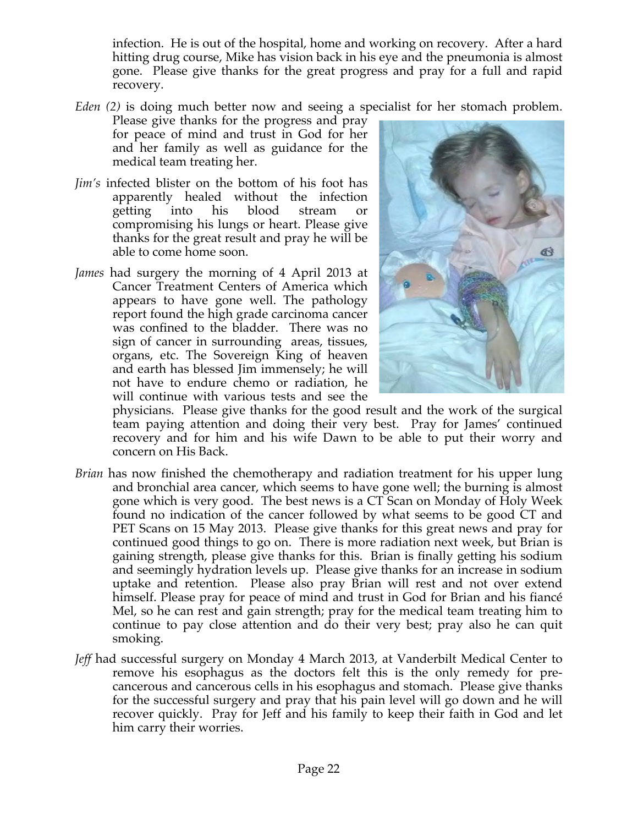infection. He is out of the hospital, home and working on recovery. After a hard hitting drug course, Mike has vision back in his eye and the pneumonia is almost gone. Please give thanks for the great progress and pray for a full and rapid recovery.

*Eden (2)* is doing much better now and seeing a specialist for her stomach problem.

Please give thanks for the progress and pray for peace of mind and trust in God for her and her family as well as guidance for the medical team treating her.

- *Jim's* infected blister on the bottom of his foot has apparently healed without the infection getting into his blood stream or compromising his lungs or heart. Please give thanks for the great result and pray he will be able to come home soon.
- *James* had surgery the morning of 4 April 2013 at Cancer Treatment Centers of America which appears to have gone well. The pathology report found the high grade carcinoma cancer was confined to the bladder. There was no sign of cancer in surrounding areas, tissues, organs, etc. The Sovereign King of heaven and earth has blessed Jim immensely; he will not have to endure chemo or radiation, he will continue with various tests and see the



physicians. Please give thanks for the good result and the work of the surgical team paying attention and doing their very best. Pray for James' continued recovery and for him and his wife Dawn to be able to put their worry and concern on His Back.

- *Brian* has now finished the chemotherapy and radiation treatment for his upper lung and bronchial area cancer, which seems to have gone well; the burning is almost gone which is very good. The best news is a CT Scan on Monday of Holy Week found no indication of the cancer followed by what seems to be good CT and PET Scans on 15 May 2013. Please give thanks for this great news and pray for continued good things to go on. There is more radiation next week, but Brian is gaining strength, please give thanks for this. Brian is finally getting his sodium and seemingly hydration levels up. Please give thanks for an increase in sodium uptake and retention. Please also pray Brian will rest and not over extend himself. Please pray for peace of mind and trust in God for Brian and his fiancé Mel, so he can rest and gain strength; pray for the medical team treating him to continue to pay close attention and do their very best; pray also he can quit smoking.
- *Jeff* had successful surgery on Monday 4 March 2013, at Vanderbilt Medical Center to remove his esophagus as the doctors felt this is the only remedy for precancerous and cancerous cells in his esophagus and stomach. Please give thanks for the successful surgery and pray that his pain level will go down and he will recover quickly. Pray for Jeff and his family to keep their faith in God and let him carry their worries.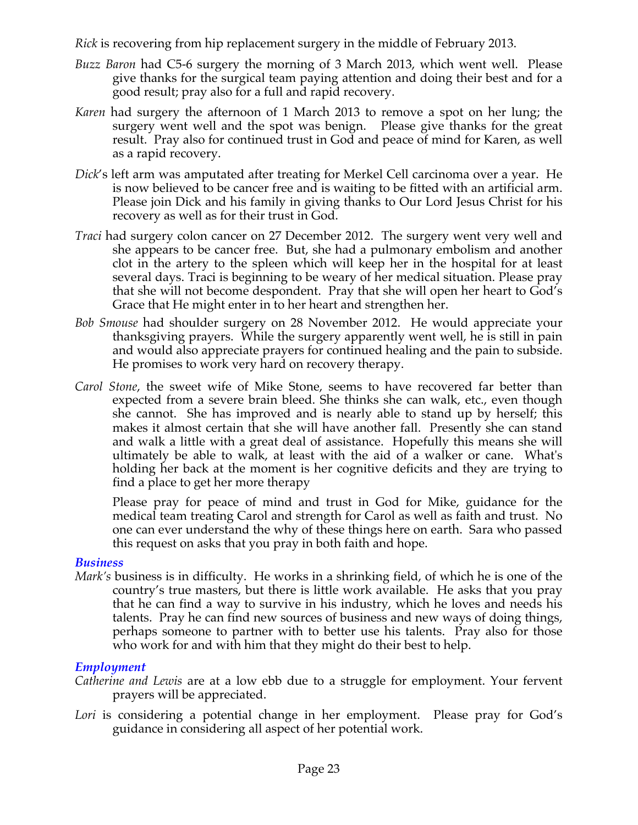*Rick* is recovering from hip replacement surgery in the middle of February 2013.

- *Buzz Baron* had C5-6 surgery the morning of 3 March 2013, which went well. Please give thanks for the surgical team paying attention and doing their best and for a good result; pray also for a full and rapid recovery.
- *Karen* had surgery the afternoon of 1 March 2013 to remove a spot on her lung; the surgery went well and the spot was benign. Please give thanks for the great result. Pray also for continued trust in God and peace of mind for Karen, as well as a rapid recovery.
- *Dick*'s left arm was amputated after treating for Merkel Cell carcinoma over a year. He is now believed to be cancer free and is waiting to be fitted with an artificial arm. Please join Dick and his family in giving thanks to Our Lord Jesus Christ for his recovery as well as for their trust in God.
- *Traci* had surgery colon cancer on 27 December 2012. The surgery went very well and she appears to be cancer free. But, she had a pulmonary embolism and another clot in the artery to the spleen which will keep her in the hospital for at least several days. Traci is beginning to be weary of her medical situation. Please pray that she will not become despondent. Pray that she will open her heart to God's Grace that He might enter in to her heart and strengthen her.
- *Bob Smouse* had shoulder surgery on 28 November 2012. He would appreciate your thanksgiving prayers. While the surgery apparently went well, he is still in pain and would also appreciate prayers for continued healing and the pain to subside. He promises to work very hard on recovery therapy.
- *Carol Stone*, the sweet wife of Mike Stone, seems to have recovered far better than expected from a severe brain bleed. She thinks she can walk, etc., even though she cannot. She has improved and is nearly able to stand up by herself; this makes it almost certain that she will have another fall. Presently she can stand and walk a little with a great deal of assistance. Hopefully this means she will ultimately be able to walk, at least with the aid of a walker or cane. What's holding her back at the moment is her cognitive deficits and they are trying to find a place to get her more therapy

Please pray for peace of mind and trust in God for Mike, guidance for the medical team treating Carol and strength for Carol as well as faith and trust. No one can ever understand the why of these things here on earth. Sara who passed this request on asks that you pray in both faith and hope.

## *Business*

*Mark's* business is in difficulty. He works in a shrinking field, of which he is one of the country's true masters, but there is little work available. He asks that you pray that he can find a way to survive in his industry, which he loves and needs his talents. Pray he can find new sources of business and new ways of doing things, perhaps someone to partner with to better use his talents. Pray also for those who work for and with him that they might do their best to help.

# *Employment*

- *Catherine and Lewis* are at a low ebb due to a struggle for employment. Your fervent prayers will be appreciated.
- Lori is considering a potential change in her employment. Please pray for God's guidance in considering all aspect of her potential work.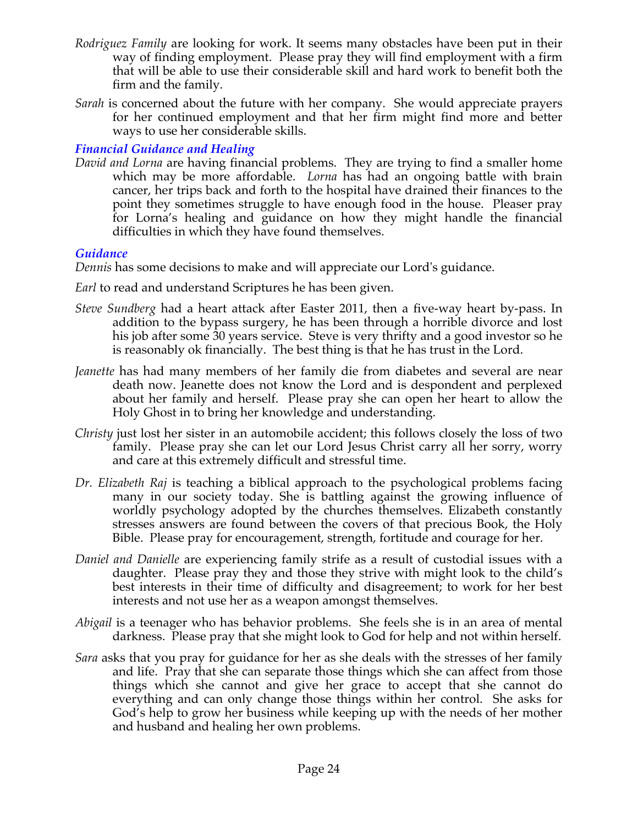- *Rodriguez Family* are looking for work. It seems many obstacles have been put in their way of finding employment. Please pray they will find employment with a firm that will be able to use their considerable skill and hard work to benefit both the firm and the family.
- *Sarah* is concerned about the future with her company. She would appreciate prayers for her continued employment and that her firm might find more and better ways to use her considerable skills.

# *Financial Guidance and Healing*

*David and Lorna* are having financial problems. They are trying to find a smaller home which may be more affordable. *Lorna* has had an ongoing battle with brain cancer, her trips back and forth to the hospital have drained their finances to the point they sometimes struggle to have enough food in the house. Pleaser pray for Lorna's healing and guidance on how they might handle the financial difficulties in which they have found themselves.

# *Guidance*

*Dennis* has some decisions to make and will appreciate our Lord's guidance.

- *Earl* to read and understand Scriptures he has been given.
- *Steve Sundberg* had a heart attack after Easter 2011, then a five-way heart by-pass. In addition to the bypass surgery, he has been through a horrible divorce and lost his job after some 30 years service. Steve is very thrifty and a good investor so he is reasonably ok financially. The best thing is that he has trust in the Lord.
- *Jeanette* has had many members of her family die from diabetes and several are near death now. Jeanette does not know the Lord and is despondent and perplexed about her family and herself. Please pray she can open her heart to allow the Holy Ghost in to bring her knowledge and understanding.
- *Christy* just lost her sister in an automobile accident; this follows closely the loss of two family. Please pray she can let our Lord Jesus Christ carry all her sorry, worry and care at this extremely difficult and stressful time.
- *Dr. Elizabeth Raj* is teaching a biblical approach to the psychological problems facing many in our society today. She is battling against the growing influence of worldly psychology adopted by the churches themselves. Elizabeth constantly stresses answers are found between the covers of that precious Book, the Holy Bible. Please pray for encouragement, strength, fortitude and courage for her.
- *Daniel and Danielle* are experiencing family strife as a result of custodial issues with a daughter. Please pray they and those they strive with might look to the child's best interests in their time of difficulty and disagreement; to work for her best interests and not use her as a weapon amongst themselves.
- *Abigail* is a teenager who has behavior problems. She feels she is in an area of mental darkness. Please pray that she might look to God for help and not within herself.
- *Sara* asks that you pray for guidance for her as she deals with the stresses of her family and life. Pray that she can separate those things which she can affect from those things which she cannot and give her grace to accept that she cannot do everything and can only change those things within her control. She asks for God's help to grow her business while keeping up with the needs of her mother and husband and healing her own problems.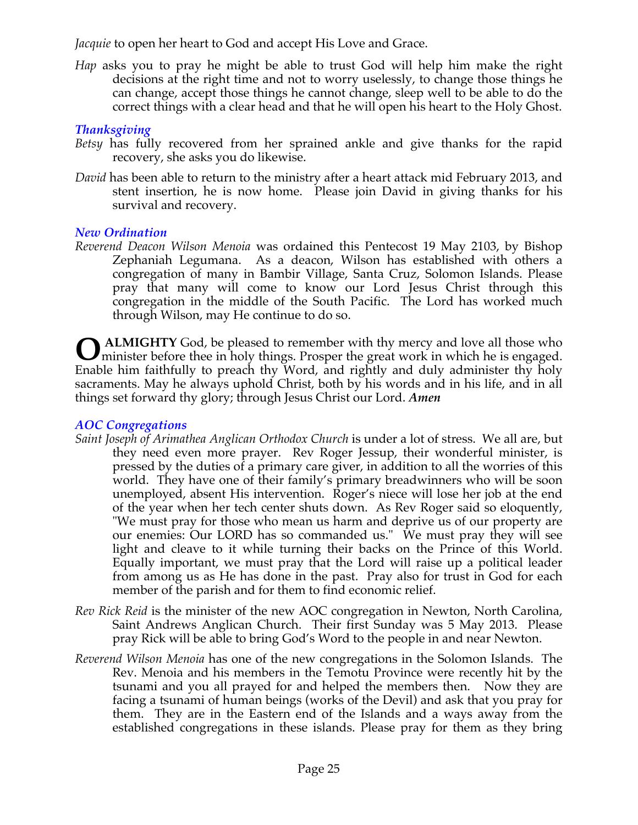*Jacquie* to open her heart to God and accept His Love and Grace.

*Hap* asks you to pray he might be able to trust God will help him make the right decisions at the right time and not to worry uselessly, to change those things he can change, accept those things he cannot change, sleep well to be able to do the correct things with a clear head and that he will open his heart to the Holy Ghost.

# *Thanksgiving*

- *Betsy* has fully recovered from her sprained ankle and give thanks for the rapid recovery, she asks you do likewise.
- *David* has been able to return to the ministry after a heart attack mid February 2013, and stent insertion, he is now home. Please join David in giving thanks for his survival and recovery.

# *New Ordination*

*Reverend Deacon Wilson Menoia* was ordained this Pentecost 19 May 2103, by Bishop Zephaniah Legumana. As a deacon, Wilson has established with others a congregation of many in Bambir Village, Santa Cruz, Solomon Islands. Please pray that many will come to know our Lord Jesus Christ through this congregation in the middle of the South Pacific. The Lord has worked much through Wilson, may He continue to do so.

**ALMIGHTY** God, be pleased to remember with thy mercy and love all those who **O** ALMIGHTY God, be pleased to remember with thy mercy and love all those who minister before thee in holy things. Prosper the great work in which he is engaged. Enable him faithfully to preach thy Word, and rightly and duly administer thy holy sacraments. May he always uphold Christ, both by his words and in his life, and in all things set forward thy glory; through Jesus Christ our Lord. *Amen*

# *AOC Congregations*

- *Saint Joseph of Arimathea Anglican Orthodox Church* is under a lot of stress. We all are, but they need even more prayer. Rev Roger Jessup, their wonderful minister, is pressed by the duties of a primary care giver, in addition to all the worries of this world. They have one of their family's primary breadwinners who will be soon unemployed, absent His intervention. Roger's niece will lose her job at the end of the year when her tech center shuts down. As Rev Roger said so eloquently, "We must pray for those who mean us harm and deprive us of our property are our enemies: Our LORD has so commanded us." We must pray they will see light and cleave to it while turning their backs on the Prince of this World. Equally important, we must pray that the Lord will raise up a political leader from among us as He has done in the past. Pray also for trust in God for each member of the parish and for them to find economic relief.
- *Rev Rick Reid* is the minister of the new AOC congregation in Newton, North Carolina, Saint Andrews Anglican Church. Their first Sunday was 5 May 2013. Please pray Rick will be able to bring God's Word to the people in and near Newton.
- *Reverend Wilson Menoia* has one of the new congregations in the Solomon Islands. The Rev. Menoia and his members in the Temotu Province were recently hit by the tsunami and you all prayed for and helped the members then. Now they are facing a tsunami of human beings (works of the Devil) and ask that you pray for them. They are in the Eastern end of the Islands and a ways away from the established congregations in these islands. Please pray for them as they bring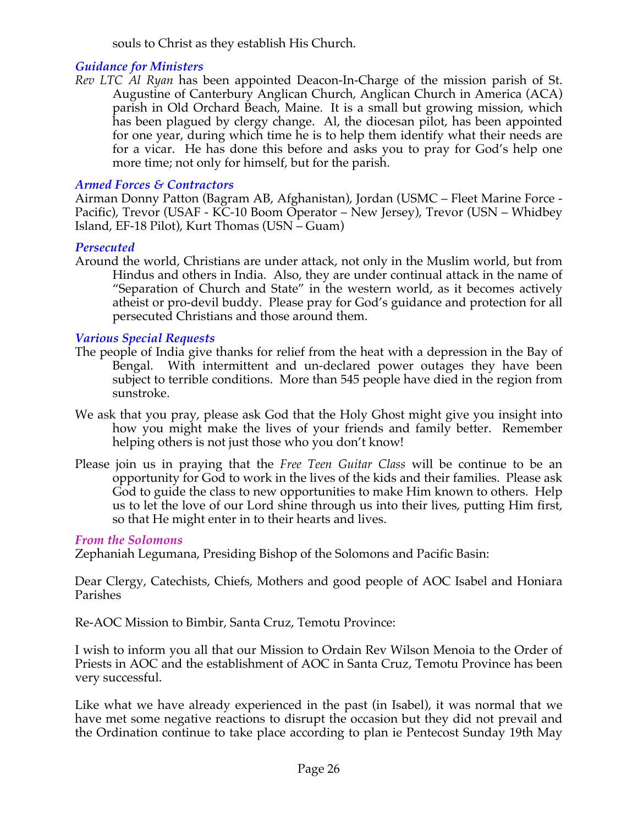souls to Christ as they establish His Church.

# *Guidance for Ministers*

*Rev LTC Al Ryan* has been appointed Deacon-In-Charge of the mission parish of St. Augustine of Canterbury Anglican Church, Anglican Church in America (ACA) parish in Old Orchard Beach, Maine. It is a small but growing mission, which has been plagued by clergy change. Al, the diocesan pilot, has been appointed for one year, during which time he is to help them identify what their needs are for a vicar. He has done this before and asks you to pray for God's help one more time; not only for himself, but for the parish.

# *Armed Forces & Contractors*

Airman Donny Patton (Bagram AB, Afghanistan), Jordan (USMC – Fleet Marine Force - Pacific), Trevor (USAF - KC-10 Boom Operator – New Jersey), Trevor (USN – Whidbey Island, EF-18 Pilot), Kurt Thomas (USN – Guam)

## *Persecuted*

Around the world, Christians are under attack, not only in the Muslim world, but from Hindus and others in India. Also, they are under continual attack in the name of "Separation of Church and State" in the western world, as it becomes actively atheist or pro-devil buddy. Please pray for God's guidance and protection for all persecuted Christians and those around them.

## *Various Special Requests*

- The people of India give thanks for relief from the heat with a depression in the Bay of Bengal. With intermittent and un-declared power outages they have been subject to terrible conditions. More than 545 people have died in the region from sunstroke.
- We ask that you pray, please ask God that the Holy Ghost might give you insight into how you might make the lives of your friends and family better. Remember helping others is not just those who you don't know!
- Please join us in praying that the *Free Teen Guitar Class* will be continue to be an opportunity for God to work in the lives of the kids and their families. Please ask God to guide the class to new opportunities to make Him known to others. Help us to let the love of our Lord shine through us into their lives, putting Him first, so that He might enter in to their hearts and lives.

# *From the Solomons*

Zephaniah Legumana, Presiding Bishop of the Solomons and Pacific Basin:

Dear Clergy, Catechists, Chiefs, Mothers and good people of AOC Isabel and Honiara Parishes

Re-AOC Mission to Bimbir, Santa Cruz, Temotu Province:

I wish to inform you all that our Mission to Ordain Rev Wilson Menoia to the Order of Priests in AOC and the establishment of AOC in Santa Cruz, Temotu Province has been very successful.

Like what we have already experienced in the past (in Isabel), it was normal that we have met some negative reactions to disrupt the occasion but they did not prevail and the Ordination continue to take place according to plan ie Pentecost Sunday 19th May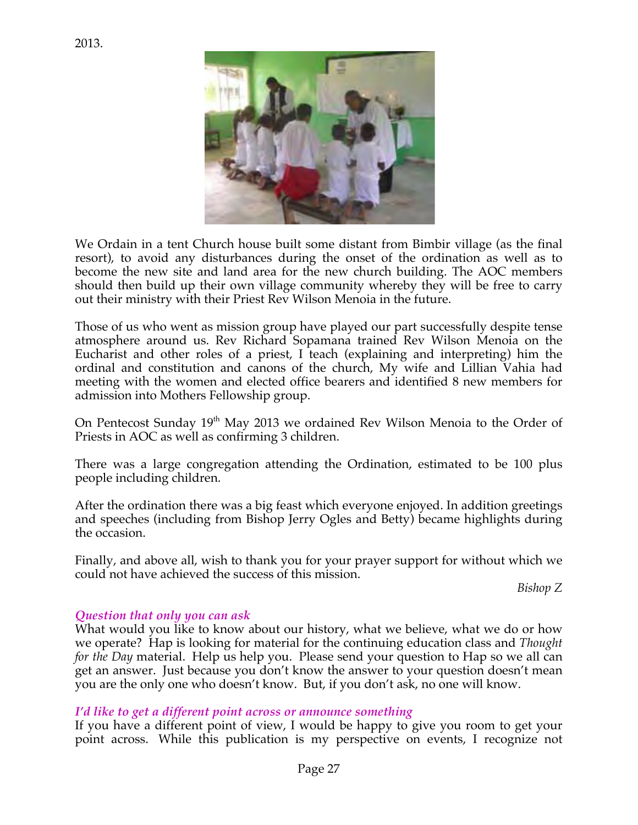

We Ordain in a tent Church house built some distant from Bimbir village (as the final resort), to avoid any disturbances during the onset of the ordination as well as to become the new site and land area for the new church building. The AOC members should then build up their own village community whereby they will be free to carry out their ministry with their Priest Rev Wilson Menoia in the future.

Those of us who went as mission group have played our part successfully despite tense atmosphere around us. Rev Richard Sopamana trained Rev Wilson Menoia on the Eucharist and other roles of a priest, I teach (explaining and interpreting) him the ordinal and constitution and canons of the church, My wife and Lillian Vahia had meeting with the women and elected office bearers and identified 8 new members for admission into Mothers Fellowship group.

On Pentecost Sunday 19<sup>th</sup> May 2013 we ordained Rev Wilson Menoia to the Order of Priests in AOC as well as confirming 3 children.

There was a large congregation attending the Ordination, estimated to be 100 plus people including children.

After the ordination there was a big feast which everyone enjoyed. In addition greetings and speeches (including from Bishop Jerry Ogles and Betty) became highlights during the occasion.

Finally, and above all, wish to thank you for your prayer support for without which we could not have achieved the success of this mission.

*Bishop Z*

## *Question that only you can ask*

What would you like to know about our history, what we believe, what we do or how we operate? Hap is looking for material for the continuing education class and *Thought for the Day* material. Help us help you. Please send your question to Hap so we all can get an answer. Just because you don't know the answer to your question doesn't mean you are the only one who doesn't know. But, if you don't ask, no one will know.

#### *I'd like to get a different point across or announce something*

If you have a different point of view, I would be happy to give you room to get your point across. While this publication is my perspective on events, I recognize not